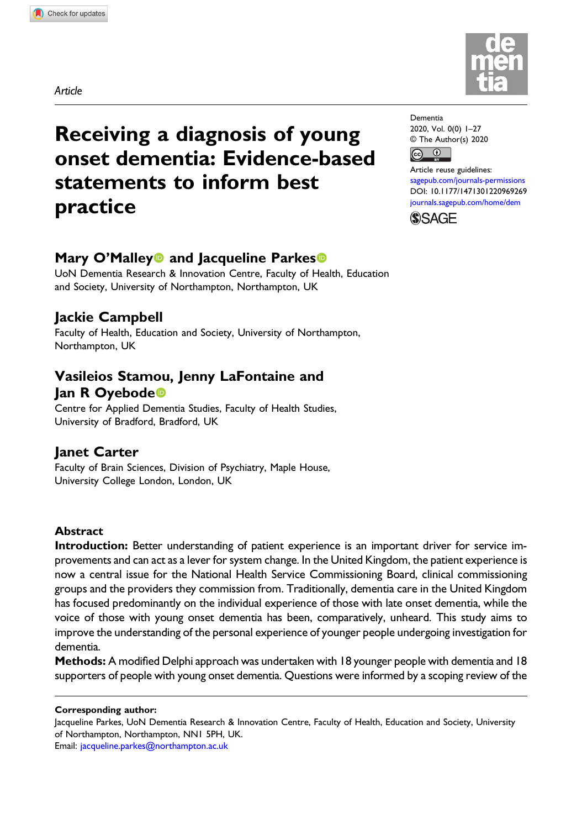Article



# Receiving a diagnosis of young onset dementia: Evidence-based statements to inform best practice

# Mary O'Malley<sup>o</sup> and Jacqueline Parkes<sup>o</sup>

UoN Dementia Research & Innovation Centre, Faculty of Health, Education and Society, University of Northampton, Northampton, UK

# Jackie Campbell

Faculty of Health, Education and Society, University of Northampton, Northampton, UK

# Vasileios Stamou, Jenny LaFontaine and lan R Oyebode<sup>®</sup>

Centre for Applied Dementia Studies, Faculty of Health Studies, University of Bradford, Bradford, UK

# Janet Carter

Faculty of Brain Sciences, Division of Psychiatry, Maple House, University College London, London, UK

### Abstract

Introduction: Better understanding of patient experience is an important driver for service improvements and can act as a lever for system change. In the United Kingdom, the patient experience is now a central issue for the National Health Service Commissioning Board, clinical commissioning groups and the providers they commission from. Traditionally, dementia care in the United Kingdom has focused predominantly on the individual experience of those with late onset dementia, while the voice of those with young onset dementia has been, comparatively, unheard. This study aims to improve the understanding of the personal experience of younger people undergoing investigation for dementia.

Methods: A modified Delphi approach was undertaken with 18 younger people with dementia and 18 supporters of people with young onset dementia. Questions were informed by a scoping review of the

#### Corresponding author:

Jacqueline Parkes, UoN Dementia Research & Innovation Centre, Faculty of Health, Education and Society, University of Northampton, Northampton, NN1 5PH, UK. Email: [jacqueline.parkes@northampton.ac.uk](mailto:jacqueline.parkes@northampton.ac.uk)

Dementia 2020, Vol. 0(0) 1–27 © The Author(s) 2020  $\bigcirc$  $\left($ 

Article reuse guidelines: [sagepub.com/journals-permissions](https://uk.sagepub.com/en-gb/journals-permissions) DOI: [10.1177/1471301220969269](https://doi.org/10.1177/1471301220969269) [journals.sagepub.com/home/dem](https://journals.sagepub.com/home/dem)

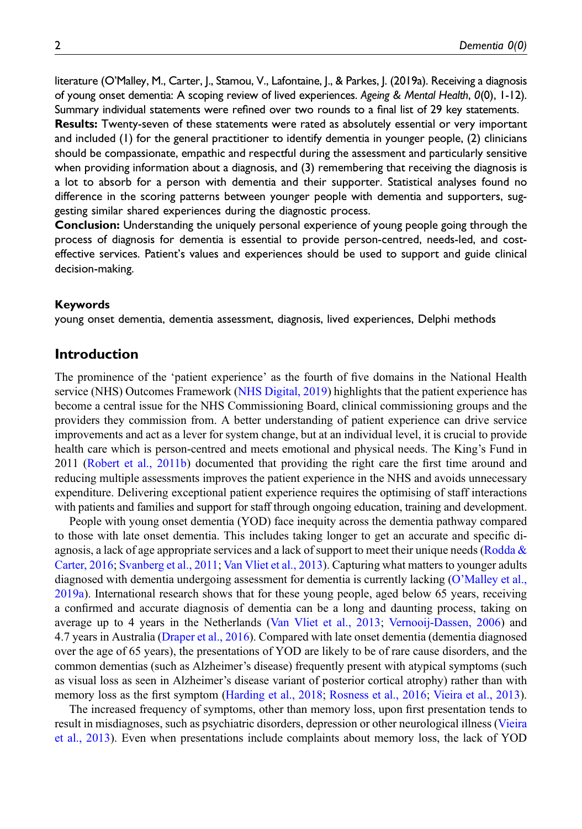literature (O'Malley, M., Carter, J., Stamou, V., Lafontaine, J., & Parkes, J. (2019a). Receiving a diagnosis of young onset dementia: A scoping review of lived experiences. Ageing & Mental Health, 0(0), 1-12). Summary individual statements were refined over two rounds to a final list of 29 key statements.

Results: Twenty-seven of these statements were rated as absolutely essential or very important and included (1) for the general practitioner to identify dementia in younger people, (2) clinicians should be compassionate, empathic and respectful during the assessment and particularly sensitive when providing information about a diagnosis, and (3) remembering that receiving the diagnosis is a lot to absorb for a person with dementia and their supporter. Statistical analyses found no difference in the scoring patterns between younger people with dementia and supporters, suggesting similar shared experiences during the diagnostic process.

Conclusion: Understanding the uniquely personal experience of young people going through the process of diagnosis for dementia is essential to provide person-centred, needs-led, and costeffective services. Patient's values and experiences should be used to support and guide clinical decision-making.

#### Keywords

young onset dementia, dementia assessment, diagnosis, lived experiences, Delphi methods

### Introduction

The prominence of the 'patient experience' as the fourth of five domains in the National Health service (NHS) Outcomes Framework [\(NHS Digital, 2019](#page-24-0)) highlights that the patient experience has become a central issue for the NHS Commissioning Board, clinical commissioning groups and the providers they commission from. A better understanding of patient experience can drive service improvements and act as a lever for system change, but at an individual level, it is crucial to provide health care which is person-centred and meets emotional and physical needs. The King's Fund in 2011 [\(Robert et al., 2011b\)](#page-25-0) documented that providing the right care the first time around and reducing multiple assessments improves the patient experience in the NHS and avoids unnecessary expenditure. Delivering exceptional patient experience requires the optimising of staff interactions with patients and families and support for staff through ongoing education, training and development.

People with young onset dementia (YOD) face inequity across the dementia pathway compared to those with late onset dementia. This includes taking longer to get an accurate and specific diagnosis, a lack of age appropriate services and a lack of support to meet their unique needs (Rodda  $\&$ [Carter, 2016;](#page-25-1) [Svanberg et al., 2011;](#page-25-2) [Van Vliet et al., 2013](#page-25-3)). Capturing what matters to younger adults diagnosed with dementia undergoing assessment for dementia is currently lacking (O'[Malley et al.,](#page-24-1) [2019a\)](#page-24-1). International research shows that for these young people, aged below 65 years, receiving a confirmed and accurate diagnosis of dementia can be a long and daunting process, taking on average up to 4 years in the Netherlands [\(Van Vliet et al., 2013](#page-25-3); [Vernooij-Dassen, 2006\)](#page-25-4) and 4.7 years in Australia ([Draper et al., 2016\)](#page-23-0). Compared with late onset dementia (dementia diagnosed over the age of 65 years), the presentations of YOD are likely to be of rare cause disorders, and the common dementias (such as Alzheimer's disease) frequently present with atypical symptoms (such as visual loss as seen in Alzheimer's disease variant of posterior cortical atrophy) rather than with memory loss as the first symptom ([Harding et al., 2018](#page-24-2); [Rosness et al., 2016](#page-25-5); [Vieira et al., 2013\)](#page-25-6).

The increased frequency of symptoms, other than memory loss, upon first presentation tends to result in misdiagnoses, such as psychiatric disorders, depression or other neurological illness [\(Vieira](#page-25-6) [et al., 2013](#page-25-6)). Even when presentations include complaints about memory loss, the lack of YOD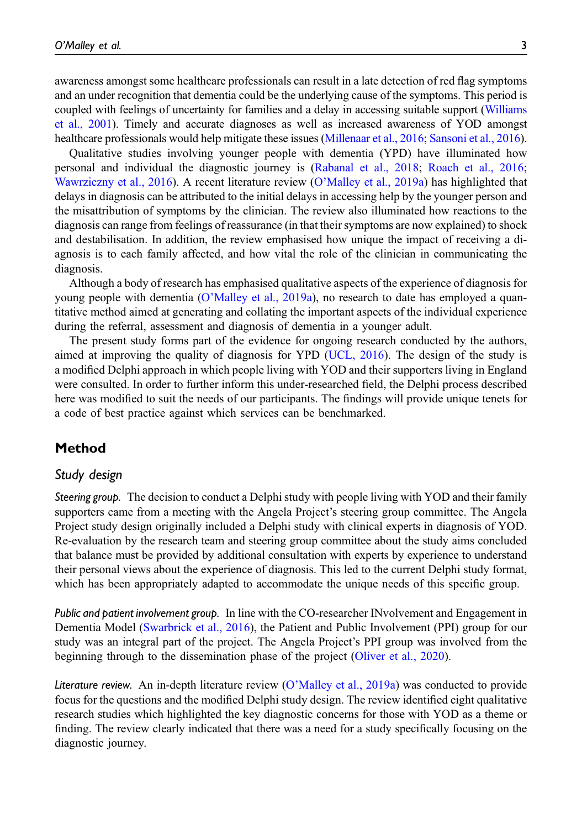awareness amongst some healthcare professionals can result in a late detection of red flag symptoms and an under recognition that dementia could be the underlying cause of the symptoms. This period is coupled with feelings of uncertainty for families and a delay in accessing suitable support [\(Williams](#page-25-7) [et al., 2001\)](#page-25-7). Timely and accurate diagnoses as well as increased awareness of YOD amongst healthcare professionals would help mitigate these issues [\(Millenaar et al., 2016;](#page-24-3) [Sansoni et al., 2016\)](#page-25-8).

Qualitative studies involving younger people with dementia (YPD) have illuminated how personal and individual the diagnostic journey is ([Rabanal et al., 2018;](#page-24-4) [Roach et al., 2016;](#page-25-9) [Wawrziczny et al., 2016\)](#page-25-10). A recent literature review (O'[Malley et al., 2019a](#page-24-1)) has highlighted that delays in diagnosis can be attributed to the initial delays in accessing help by the younger person and the misattribution of symptoms by the clinician. The review also illuminated how reactions to the diagnosis can range from feelings of reassurance (in that their symptoms are now explained) to shock and destabilisation. In addition, the review emphasised how unique the impact of receiving a diagnosis is to each family affected, and how vital the role of the clinician in communicating the diagnosis.

Although a body of research has emphasised qualitative aspects of the experience of diagnosis for young people with dementia (O'[Malley et al., 2019a](#page-24-1)), no research to date has employed a quantitative method aimed at generating and collating the important aspects of the individual experience during the referral, assessment and diagnosis of dementia in a younger adult.

The present study forms part of the evidence for ongoing research conducted by the authors, aimed at improving the quality of diagnosis for YPD ([UCL, 2016](#page-25-11)). The design of the study is a modified Delphi approach in which people living with YOD and their supporters living in England were consulted. In order to further inform this under-researched field, the Delphi process described here was modified to suit the needs of our participants. The findings will provide unique tenets for a code of best practice against which services can be benchmarked.

### Method

#### Study design

Steering group. The decision to conduct a Delphi study with people living with YOD and their family supporters came from a meeting with the Angela Project's steering group committee. The Angela Project study design originally included a Delphi study with clinical experts in diagnosis of YOD. Re-evaluation by the research team and steering group committee about the study aims concluded that balance must be provided by additional consultation with experts by experience to understand their personal views about the experience of diagnosis. This led to the current Delphi study format, which has been appropriately adapted to accommodate the unique needs of this specific group.

Public and patient involvement group. In line with the CO-researcher INvolvement and Engagement in Dementia Model ([Swarbrick et al., 2016](#page-25-12)), the Patient and Public Involvement (PPI) group for our study was an integral part of the project. The Angela Project's PPI group was involved from the beginning through to the dissemination phase of the project ([Oliver et al., 2020](#page-24-5)).

Literature review. An in-depth literature review (O'[Malley et al., 2019a\)](#page-24-1) was conducted to provide focus for the questions and the modified Delphi study design. The review identified eight qualitative research studies which highlighted the key diagnostic concerns for those with YOD as a theme or finding. The review clearly indicated that there was a need for a study specifically focusing on the diagnostic journey.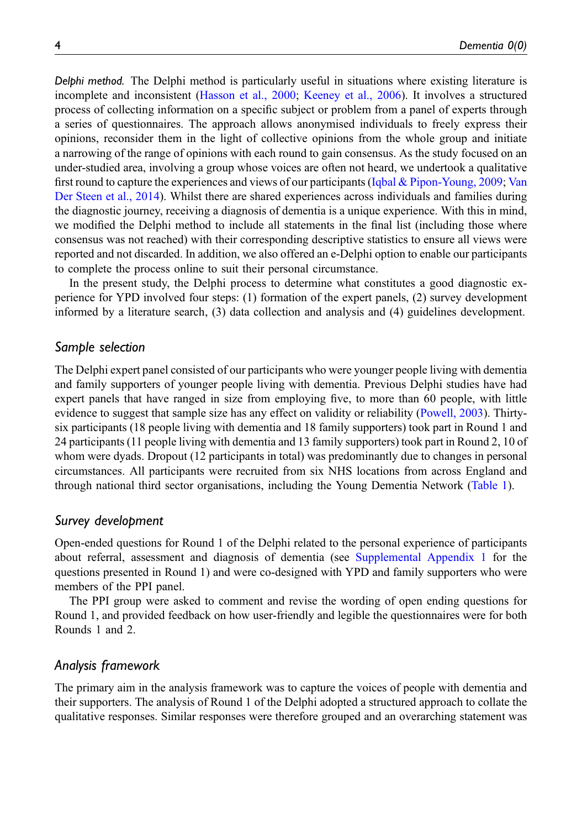Delphi method. The Delphi method is particularly useful in situations where existing literature is incomplete and inconsistent [\(Hasson et al., 2000](#page-24-6); [Keeney et al., 2006](#page-24-7)). It involves a structured process of collecting information on a specific subject or problem from a panel of experts through a series of questionnaires. The approach allows anonymised individuals to freely express their opinions, reconsider them in the light of collective opinions from the whole group and initiate a narrowing of the range of opinions with each round to gain consensus. As the study focused on an under-studied area, involving a group whose voices are often not heard, we undertook a qualitative first round to capture the experiences and views of our participants ([Iqbal & Pipon-Young, 2009](#page-24-8); [Van](#page-25-13) [Der Steen et al., 2014](#page-25-13)). Whilst there are shared experiences across individuals and families during the diagnostic journey, receiving a diagnosis of dementia is a unique experience. With this in mind, we modified the Delphi method to include all statements in the final list (including those where consensus was not reached) with their corresponding descriptive statistics to ensure all views were reported and not discarded. In addition, we also offered an e-Delphi option to enable our participants to complete the process online to suit their personal circumstance.

In the present study, the Delphi process to determine what constitutes a good diagnostic experience for YPD involved four steps: (1) formation of the expert panels, (2) survey development informed by a literature search, (3) data collection and analysis and (4) guidelines development.

#### Sample selection

The Delphi expert panel consisted of our participants who were younger people living with dementia and family supporters of younger people living with dementia. Previous Delphi studies have had expert panels that have ranged in size from employing five, to more than 60 people, with little evidence to suggest that sample size has any effect on validity or reliability [\(Powell, 2003](#page-24-9)). Thirtysix participants (18 people living with dementia and 18 family supporters) took part in Round 1 and 24 participants (11 people living with dementia and 13 family supporters) took part in Round 2, 10 of whom were dyads. Dropout (12 participants in total) was predominantly due to changes in personal circumstances. All participants were recruited from six NHS locations from across England and through national third sector organisations, including the Young Dementia Network [\(Table 1\)](#page-4-0).

#### Survey development

Open-ended questions for Round 1 of the Delphi related to the personal experience of participants about referral, assessment and diagnosis of dementia (see [Supplemental Appendix 1](https://journals.sagepub.com/doi/suppl/10.1177/1471301220969269) for the questions presented in Round 1) and were co-designed with YPD and family supporters who were members of the PPI panel.

The PPI group were asked to comment and revise the wording of open ending questions for Round 1, and provided feedback on how user-friendly and legible the questionnaires were for both Rounds 1 and 2.

### Analysis framework

The primary aim in the analysis framework was to capture the voices of people with dementia and their supporters. The analysis of Round 1 of the Delphi adopted a structured approach to collate the qualitative responses. Similar responses were therefore grouped and an overarching statement was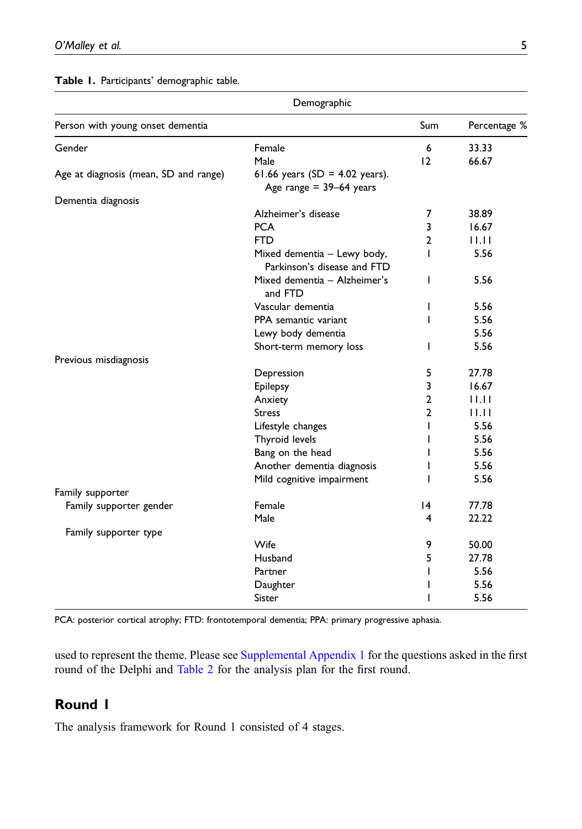Table 1. Participants' demographic table.

|                                       | Demographic                                                     |                |              |
|---------------------------------------|-----------------------------------------------------------------|----------------|--------------|
| Person with young onset dementia      |                                                                 | Sum            | Percentage % |
| Gender                                | Female                                                          | 6              | 33.33        |
|                                       | Male                                                            | 12             | 66.67        |
| Age at diagnosis (mean, SD and range) | 61.66 years (SD = $4.02$ years).<br>Age range $= 39 - 64$ years |                |              |
| Dementia diagnosis                    |                                                                 |                |              |
|                                       | Alzheimer's disease                                             | 7              | 38.89        |
|                                       | <b>PCA</b>                                                      | 3              | 16.67        |
|                                       | <b>FTD</b>                                                      | $\overline{2}$ | 11.11        |
|                                       | Mixed dementia - Lewy body,<br>Parkinson's disease and FTD      | т              | 5.56         |
|                                       | Mixed dementia - Alzheimer's<br>and FTD                         | ı              | 5.56         |
|                                       | Vascular dementia                                               | I              | 5.56         |
|                                       | PPA semantic variant                                            | ı              | 5.56         |
|                                       | Lewy body dementia                                              |                | 5.56         |
|                                       | Short-term memory loss                                          | L              | 5.56         |
| Previous misdiagnosis                 |                                                                 |                |              |
|                                       | Depression                                                      | 5              | 27.78        |
|                                       | Epilepsy                                                        | 3              | 16.67        |
|                                       | Anxiety                                                         | $\overline{2}$ | 11.IT        |
|                                       | <b>Stress</b>                                                   | $\overline{2}$ | 11.11        |
|                                       | Lifestyle changes                                               | т              | 5.56         |
|                                       | Thyroid levels                                                  | L              | 5.56         |
|                                       | Bang on the head                                                | ı              | 5.56         |
|                                       | Another dementia diagnosis                                      |                | 5.56         |
|                                       | Mild cognitive impairment                                       |                | 5.56         |
| Family supporter                      |                                                                 |                |              |
| Family supporter gender               | Female                                                          | 14             | 77.78        |
|                                       | Male                                                            | 4              | 22.22        |
| Family supporter type                 |                                                                 |                |              |
|                                       | Wife                                                            | 9              | 50.00        |
|                                       | Husband                                                         | 5              | 27.78        |
|                                       | Partner                                                         | L              | 5.56         |
|                                       | Daughter                                                        |                | 5.56         |
|                                       | Sister                                                          |                | 5.56         |

<span id="page-4-0"></span>PCA: posterior cortical atrophy; FTD: frontotemporal dementia; PPA: primary progressive aphasia.

used to represent the theme. Please see [Supplemental Appendix 1](https://journals.sagepub.com/doi/suppl/10.1177/1471301220969269) for the questions asked in the first round of the Delphi and [Table 2](#page-5-0) for the analysis plan for the first round.

# Round 1

The analysis framework for Round 1 consisted of 4 stages.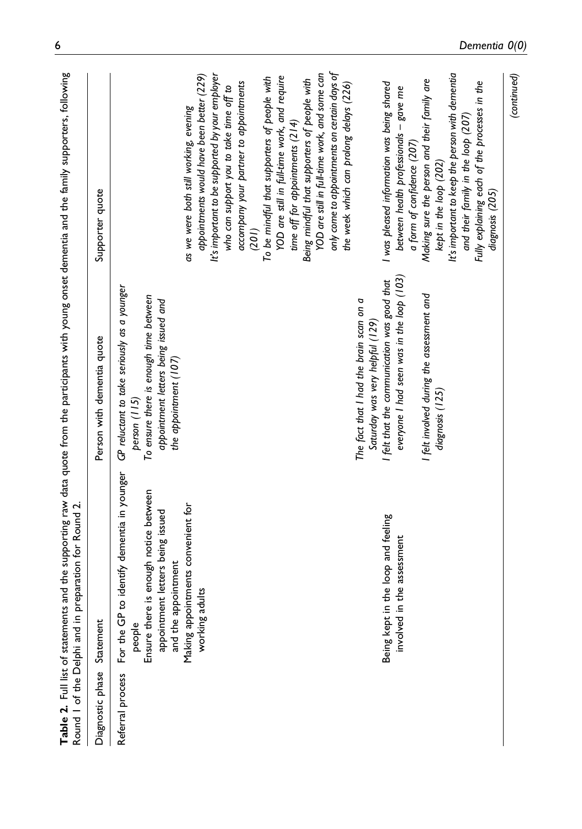<span id="page-5-0"></span>

|                            | Table 2. Full list of statements and the supporting raw data quote from the participants with young onset dementia and the family supporters, following<br>Round I of the Delphi and in preparation for Round 2.                                                                        |                                                                                                                                                                                                                                                                                                                                                                                                                  |                                                                                                                                                                                                                                                                                                                                                                                                                                                                                                                                                                                                                                                                                                                                                                                                                                                                                                                                 |
|----------------------------|-----------------------------------------------------------------------------------------------------------------------------------------------------------------------------------------------------------------------------------------------------------------------------------------|------------------------------------------------------------------------------------------------------------------------------------------------------------------------------------------------------------------------------------------------------------------------------------------------------------------------------------------------------------------------------------------------------------------|---------------------------------------------------------------------------------------------------------------------------------------------------------------------------------------------------------------------------------------------------------------------------------------------------------------------------------------------------------------------------------------------------------------------------------------------------------------------------------------------------------------------------------------------------------------------------------------------------------------------------------------------------------------------------------------------------------------------------------------------------------------------------------------------------------------------------------------------------------------------------------------------------------------------------------|
| Diagnostic phase Statement |                                                                                                                                                                                                                                                                                         | Person with dementia quote                                                                                                                                                                                                                                                                                                                                                                                       | Supporter quote                                                                                                                                                                                                                                                                                                                                                                                                                                                                                                                                                                                                                                                                                                                                                                                                                                                                                                                 |
| Referral process           | For the GP to identify dementia in younger<br>Ensure there is enough notice between<br>Making appointments convenient for<br>appointment letters being issued<br>Being kept in the loop and feeling<br>the assessment<br>and the appointment<br>working adults<br>involved in<br>people | everyone I had seen was in the loop (103)<br>I felt that the communication was good that<br>GP reluctant to take seriously as a younger<br>I felt involved during the assessment and<br>To ensure there is enough time between<br>The fact that I had the brain scan on a<br>appointment letters being issued and<br>Saturday was very helpful (129)<br>the appointment (107)<br>diagnosis (125)<br>person (115) | only come to appointments on certain days of<br>YOD are still in full-time work, and some can<br>It's important to keep the person with dementia<br>It's important to be supported by your employer<br>appointments would have been better (229)<br>YOD are still in full-time work, and require<br>To be mindful that supporters of people with<br>Being mindful that supporters of people with<br>Making sure the person and their family are<br>Fully explaining each of the processes in the<br>I was pleased information was being shared<br>accompany your partner to appointments<br>the week which can prolong delays (226)<br>who can support you to take time off to<br>between health professionals - gave me<br>as we were both still working, evening<br>and their family in the loop (207)<br>time off for appointments (214)<br>a form of confidence (207)<br>kept in the loop (202)<br>diagnosis (205)<br>(201) |
|                            |                                                                                                                                                                                                                                                                                         |                                                                                                                                                                                                                                                                                                                                                                                                                  | (continued)                                                                                                                                                                                                                                                                                                                                                                                                                                                                                                                                                                                                                                                                                                                                                                                                                                                                                                                     |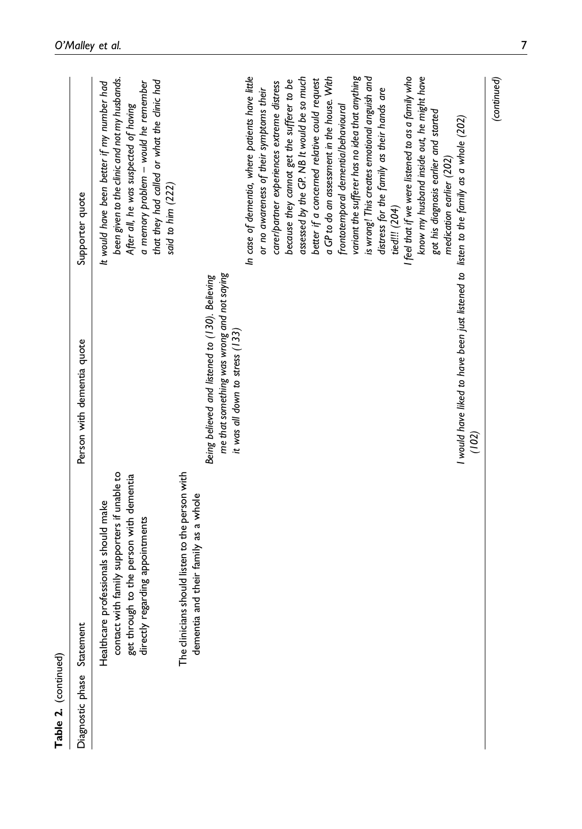| Table 2. (continued) |                                                                                                                                                                   |                                                                                                                                  |                                                                                                                                                                                                                                                                                                                                                                                                                                                                                                                                                                                                                                                                                                                     |
|----------------------|-------------------------------------------------------------------------------------------------------------------------------------------------------------------|----------------------------------------------------------------------------------------------------------------------------------|---------------------------------------------------------------------------------------------------------------------------------------------------------------------------------------------------------------------------------------------------------------------------------------------------------------------------------------------------------------------------------------------------------------------------------------------------------------------------------------------------------------------------------------------------------------------------------------------------------------------------------------------------------------------------------------------------------------------|
| Diagnostic phase     | Statement                                                                                                                                                         | Person with dementia quote                                                                                                       | Supporter quote                                                                                                                                                                                                                                                                                                                                                                                                                                                                                                                                                                                                                                                                                                     |
|                      | contact with family supporters if unable to<br>get through to the person with dementia<br>directly regarding appointments<br>Healthcare professionals should make |                                                                                                                                  | been given to the clinic and not my husbands.<br>that they had called or what the clinic had<br>It would have been better if my number had<br>a memory problem - would he remember<br>After all, he was suspected of having<br>said to him (222)                                                                                                                                                                                                                                                                                                                                                                                                                                                                    |
|                      | The clinicians should listen to the person with<br>and their family as a whole<br>dementia                                                                        | me that something was wrong and not saying<br>Being believed and listened to (130). Believing<br>it was all down to stress (133) |                                                                                                                                                                                                                                                                                                                                                                                                                                                                                                                                                                                                                                                                                                                     |
|                      |                                                                                                                                                                   | I would have liked to have been just listened to listen to the family as a whole (202)<br>(102)                                  | In case of dementia, where patients have little<br>a GP to do an assessment in the house. With<br>variant the sufferer has no idea that anything<br>is wrong! This creates emotional anguish and<br>I feel that if we were listened to as a family who<br>know my husband inside out, he might have<br>assessed by the GP. NB It would be so much<br>better if a concerned relative could request<br>because they cannot get the sufferer to be<br>carer/partner experiences extreme distress<br>distress for the family as their hands are<br>or no awareness of their symptoms their<br>frontotemporal dementialbehavioural<br>got his diagnosis earlier and started<br>medication earlier (202)<br>tied!!! (204) |
|                      |                                                                                                                                                                   |                                                                                                                                  | (continued)                                                                                                                                                                                                                                                                                                                                                                                                                                                                                                                                                                                                                                                                                                         |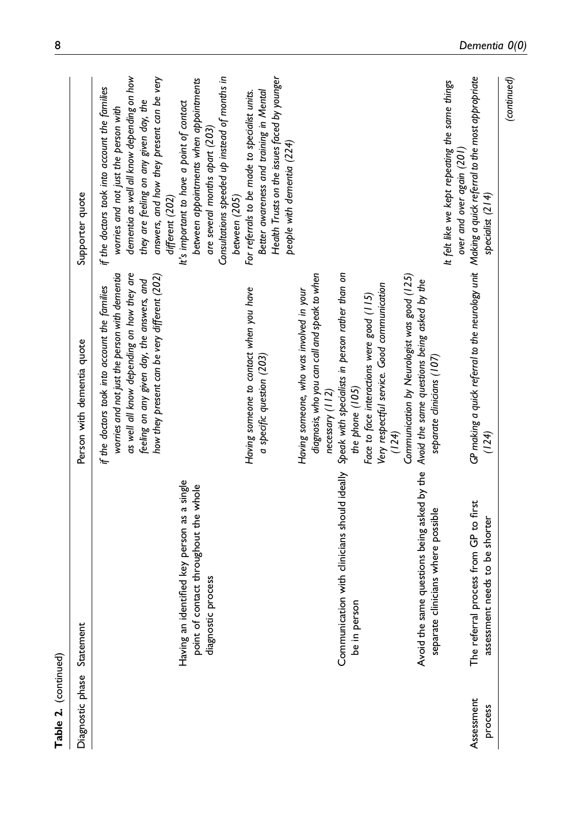| Table 2. (continued)  |                                                                                                                               |                                                                                                                                                                                                                                                                                         |                                                                                                                                                                                                                                                                                                                                                                                                                                          |
|-----------------------|-------------------------------------------------------------------------------------------------------------------------------|-----------------------------------------------------------------------------------------------------------------------------------------------------------------------------------------------------------------------------------------------------------------------------------------|------------------------------------------------------------------------------------------------------------------------------------------------------------------------------------------------------------------------------------------------------------------------------------------------------------------------------------------------------------------------------------------------------------------------------------------|
| Diagnostic phase      | Statement                                                                                                                     | Person with dementia quote                                                                                                                                                                                                                                                              | Supporter quote                                                                                                                                                                                                                                                                                                                                                                                                                          |
|                       | Having an identified key person as a single<br>point of contact throughout the whole<br>process<br>diagnostic                 | as well all know depending on how they are<br>worries and not just the person with dementia<br>how they present can be very different (202)<br>feeling on any given day, the answers, and<br>if the doctors took into account the families                                              | Consultations speeded up instead of months in<br>dementia as well all know depending on how<br>answers, and how they present can be very<br>between appointments when appointments<br>if the doctors took into account the families<br>they are feeling on any given day, the<br>It's important to have a point of contact<br>worries and not just the person with<br>are several months apart (203)<br>different (202)<br>between (205) |
|                       |                                                                                                                               | Having someone to contact when you have<br>a specific question (203)                                                                                                                                                                                                                    | Health Trusts on the issues faced by younger<br>Better awareness and training in Mental<br>For referrals to be made to specialist units.<br>people with dementia (224)                                                                                                                                                                                                                                                                   |
|                       | Communication with clinicians should ideally<br>be in person                                                                  | diagnosis, who you can call and speak to when<br>Speak with specialists in person rather than on<br>Very respectful service. Good communication<br>Having someone, who was involved in your<br>Face to face interactions were good (115)<br>the phone (105)<br>necessary (112)<br>(124) |                                                                                                                                                                                                                                                                                                                                                                                                                                          |
|                       | Avoid the same questions being asked by the Avoid the same questions being asked by the<br>separate clinicians where possible | Communication by Neurologist was good (125)<br>separate clinicians (107)                                                                                                                                                                                                                |                                                                                                                                                                                                                                                                                                                                                                                                                                          |
| Assessment<br>process | process from GP to first<br>t needs to be shorter<br>assessmen<br>The referral                                                | GP making a quick referral to the neurology unit Making a quick referral to the most appropriate<br>(124)                                                                                                                                                                               | It felt like we kept repeating the same things<br>over and over again (201)<br>specialist (214)                                                                                                                                                                                                                                                                                                                                          |
|                       |                                                                                                                               |                                                                                                                                                                                                                                                                                         | (continued)                                                                                                                                                                                                                                                                                                                                                                                                                              |

8 Dementia 0(0)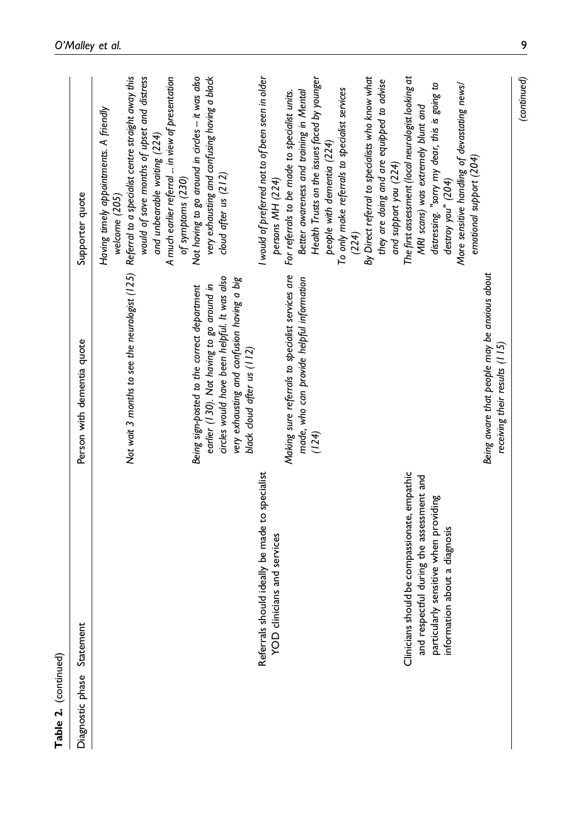| Table 2. (continued)                                                                                                                                                                                                                                       |                                                                                                                                                                                                                      |                                                                                                                                                                                                                                                                                                                                                                                                                                                                                                                                                                                                                                                                                  |
|------------------------------------------------------------------------------------------------------------------------------------------------------------------------------------------------------------------------------------------------------------|----------------------------------------------------------------------------------------------------------------------------------------------------------------------------------------------------------------------|----------------------------------------------------------------------------------------------------------------------------------------------------------------------------------------------------------------------------------------------------------------------------------------------------------------------------------------------------------------------------------------------------------------------------------------------------------------------------------------------------------------------------------------------------------------------------------------------------------------------------------------------------------------------------------|
| Statement<br>Diagnostic phase                                                                                                                                                                                                                              | Person with dementia quote                                                                                                                                                                                           | Supporter quote                                                                                                                                                                                                                                                                                                                                                                                                                                                                                                                                                                                                                                                                  |
|                                                                                                                                                                                                                                                            | circles would have been helpful. It was also<br>very exhausting and confusion having a big<br>earlier (130). Not having to go around in<br>Being sign-posted to the correct department<br>black cloud after us (112) | Not wait 3 months to see the neurologist (125) Referral to a specialist centre straight away this<br>Not having to go around in circles - it was also<br>very exhausting and confusing having a black<br>would of save months of upset and distress<br>A much earlier referral  in view of presentation<br>Having timely appointments. A friendly<br>and unbearable waiting (224)<br>cloud after us (212)<br>of symptoms (230)<br>welcome (205)                                                                                                                                                                                                                                  |
| Clinicians should be compassionate, empathic<br>Referrals should ideally be made to specialist<br>and respectful during the assessment and<br>particularly sensitive when providing<br>information about a diagnosis<br><b>YOD</b> clinicians and services | Making sure referrals to specialist services are<br>made, who can provide helpful information<br>(124)                                                                                                               | I would of preferred not to of been seen in older<br>Health Trusts on the issues faced by younger<br>By Direct referral to specialists who know what<br>The first assessment (local neurologist looking at<br>they are doing and are equipped to advise<br>More sensitive handling of devastating news/<br>distressing. "sorry my dear, this is going to<br>To only make referrals to specialist services<br>Better awareness and training in Mental<br>For referrals to be made to specialist units.<br>MRI scans) was extremely blunt and<br>people with dementia (224)<br>emotional support (204)<br>and support you (224)<br>persons MH (224)<br>destroy you" (204)<br>(224) |
|                                                                                                                                                                                                                                                            | Being aware that people may be anxious about<br>receiving their results (115)                                                                                                                                        |                                                                                                                                                                                                                                                                                                                                                                                                                                                                                                                                                                                                                                                                                  |

(continued)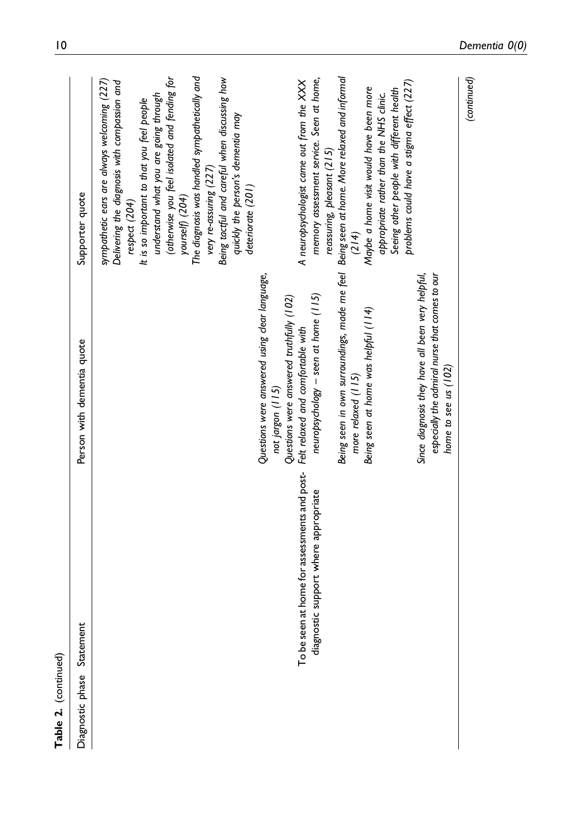| Table 2. (continued) |                                                                                            |                                                                                                                                                                                                                                                                                                                                                                                                                                                                                      |                                                                                                                                                                                                                                                                                                                                                                                                                                                                                                                                                                                                                                                                                                                                                                                             |
|----------------------|--------------------------------------------------------------------------------------------|--------------------------------------------------------------------------------------------------------------------------------------------------------------------------------------------------------------------------------------------------------------------------------------------------------------------------------------------------------------------------------------------------------------------------------------------------------------------------------------|---------------------------------------------------------------------------------------------------------------------------------------------------------------------------------------------------------------------------------------------------------------------------------------------------------------------------------------------------------------------------------------------------------------------------------------------------------------------------------------------------------------------------------------------------------------------------------------------------------------------------------------------------------------------------------------------------------------------------------------------------------------------------------------------|
| Diagnostic phase     | Statement                                                                                  | Person with dementia quote                                                                                                                                                                                                                                                                                                                                                                                                                                                           | Supporter quote                                                                                                                                                                                                                                                                                                                                                                                                                                                                                                                                                                                                                                                                                                                                                                             |
|                      | home for assessments and post-<br>support where appropriate<br>To be seen at<br>diagnostic | Being seen in own surroundings, made me feel Being seen at home. More relaxed and informal<br>Questions were answered using clear language,<br>especially the admiral nurse that comes to our<br>Since diagnosis they have all been very helpful,<br>neuropsychology - seen at home (115)<br>Questions were answered truthfully (102)<br>Being seen at home was helpful (114)<br>Felt relaxed and comfortable with<br>home to see us (102)<br>more relaxed (115)<br>not jargon (115) | The diagnosis was handled sympathetically and<br>(otherwise you feel isolated and fending for<br>Being tactful and careful when discussing how<br>memory assessment service. Seen at home,<br>(continued)<br>sympathetic ears are always welcoming (227)<br>A neuropsychologist came out from the XXX<br>Delivering the diagnosis with compassion and<br>problems could have a stigma effect (227)<br>Maybe a home visit would have been more<br>Seeing other people with different health<br>understand what you are going through<br>appropriate rather than the NHS clinic.<br>It is so important to that you feel people<br>quickly the person's dementia may<br>reassuring, pleasant (215)<br>very re-assuring (227)<br>deteriorate (201)<br>yourself) (204)<br>respect (204)<br>(214) |
|                      |                                                                                            |                                                                                                                                                                                                                                                                                                                                                                                                                                                                                      |                                                                                                                                                                                                                                                                                                                                                                                                                                                                                                                                                                                                                                                                                                                                                                                             |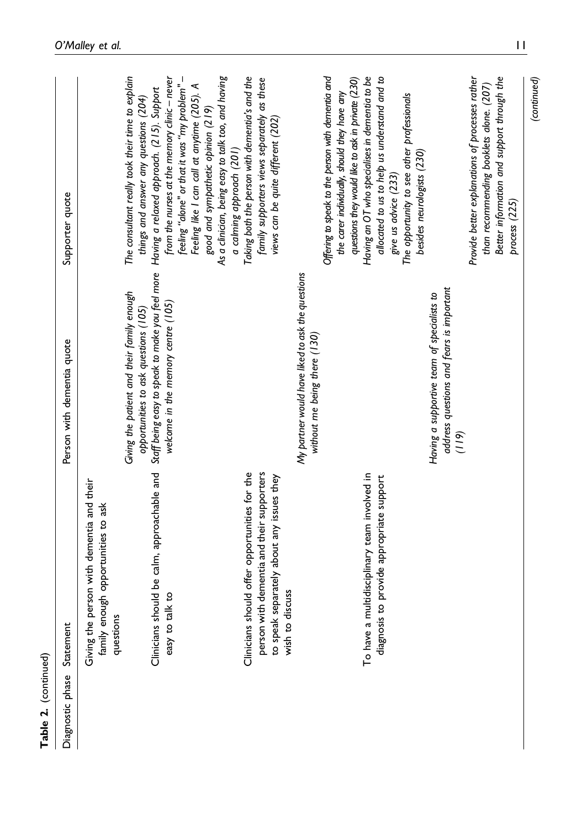| Table 2. (continued) |                                                                                              |                                                                                                                                                                             |                                                                                                                                                                                                                                                                      |
|----------------------|----------------------------------------------------------------------------------------------|-----------------------------------------------------------------------------------------------------------------------------------------------------------------------------|----------------------------------------------------------------------------------------------------------------------------------------------------------------------------------------------------------------------------------------------------------------------|
| Diagnostic phase     | Statement                                                                                    | Person with dementia quote                                                                                                                                                  | Supporter quote                                                                                                                                                                                                                                                      |
|                      | Giving the person with dementia and their<br>family enough opportunities to ask<br>questions |                                                                                                                                                                             |                                                                                                                                                                                                                                                                      |
|                      | Clinicians should be calm, approachable and<br>easy to talk to                               | Staff being easy to speak to make you feel more<br>Giving the patient and their family enough<br>welcome in the memory centre (105)<br>opportunities to ask questions (105) | - "Feeling" or that it was "my problem"<br>The consultant really took their time to explain<br>from the nurses at the memory clinic - never<br>Having a relaxed approach. (215). Support<br>things and answer any questions (204)                                    |
|                      | Clinicians should offer opportunities for the<br>person with dementia and their supporters   |                                                                                                                                                                             | As a clinician, being easy to talk too, and having<br>Taking both the person with dementia's and the<br>family supporters views separately as these<br>Feeling like I can call at anytime (205). A<br>good and sympathetic opinion (219)<br>a calming approach (201) |
|                      | to speak separately about any issues they<br>wish to discuss                                 |                                                                                                                                                                             | views can be quite different (202)                                                                                                                                                                                                                                   |
|                      |                                                                                              | My partner would have liked to ask the questions<br>without me being there (130)                                                                                            |                                                                                                                                                                                                                                                                      |
|                      | To have a multidisciplinary team involved in                                                 |                                                                                                                                                                             | Offering to speak to the person with dementia and<br>Having an OT who specialises in dementia to be<br>questions they would like to ask in private (230)<br>the carer individually, should they have any                                                             |
|                      | to provide appropriate support<br>diagnosis                                                  |                                                                                                                                                                             | allocated to us to help us understand and to<br>give us advice (233)                                                                                                                                                                                                 |
|                      |                                                                                              |                                                                                                                                                                             | The opportunity to see other professionals<br>besides neurologists (230)                                                                                                                                                                                             |
|                      |                                                                                              | address questions and fears is important<br>Having a supportive team of specialists to<br>(119)                                                                             |                                                                                                                                                                                                                                                                      |
|                      |                                                                                              |                                                                                                                                                                             | Better information and support through the<br>Provide better explanations of processes rather<br>than recommending booklets alone. (207)                                                                                                                             |
|                      |                                                                                              |                                                                                                                                                                             | (continued)<br>process (225)                                                                                                                                                                                                                                         |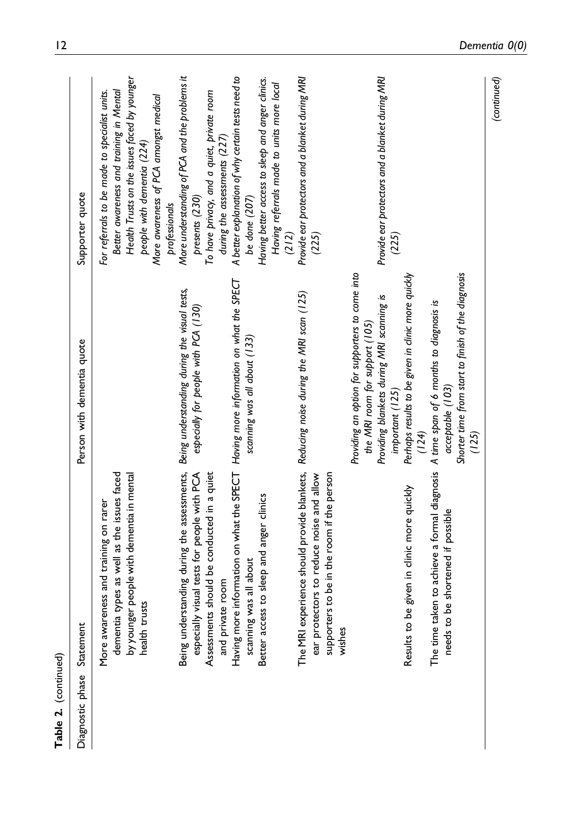| Table 2. (continued) |                                                                                                                                                              |                                                                                                                                                                                                                  |                                                                                                                                                                                                                                  |
|----------------------|--------------------------------------------------------------------------------------------------------------------------------------------------------------|------------------------------------------------------------------------------------------------------------------------------------------------------------------------------------------------------------------|----------------------------------------------------------------------------------------------------------------------------------------------------------------------------------------------------------------------------------|
| Diagnostic phase     | Statement                                                                                                                                                    | Person with dementia quote                                                                                                                                                                                       | Supporter quote                                                                                                                                                                                                                  |
|                      | dementia types as well as the issues faced<br>by younger people with dementia in mental<br>More awareness and training on rarer<br>health trusts             |                                                                                                                                                                                                                  | Health Trusts on the issues faced by younger<br>Better awareness and training in Mental<br>For referrals to be made to specialist units.<br>More awareness of PCA amongst medical<br>people with dementia (224)<br>professionals |
|                      | Being understanding during the assessments,<br>especially visual tests for people with PCA<br>Assessments should be conducted in a quiet<br>and private room | Being understanding during the visual tests,<br>especially for people with PCA (130)                                                                                                                             | More understanding of PCA and the problems it<br>To have privacy, and a quiet, private room<br>during the assessments (227)<br>presents (230)                                                                                    |
|                      | Having more information on what the SPECT Having more information on what the SPECT<br>Better access to sleep and anger clinics<br>scanning was all about    | scanning was all about (133)                                                                                                                                                                                     | A better explanation of why certain tests need to<br>Having better access to sleep and anger clinics.<br>Having referrals made to units more local<br>be done (207)<br>(212)                                                     |
|                      | The MRI experience should provide blankets,<br>supporters to be in the room if the person<br>ear protectors to reduce noise and allow<br>wishes              | Reducing noise during the MRI scan (125)                                                                                                                                                                         | Provide ear protectors and a blanket during MRI<br>(225)                                                                                                                                                                         |
|                      | Results to be given in clinic more quickly                                                                                                                   | Providing an option for supporters to come into<br>Perhaps results to be given in clinic more quickly<br>Providing blankets during MRI scanning is<br>the MRI room for support (105)<br>important (125)<br>(124) | Provide ear protectors and a blanket during MRI<br>(225)                                                                                                                                                                         |
|                      | The time taken to achieve a formal diagnosis A time span of 6 months to diagnosis is<br>be shortened if possible<br>needs to                                 | Shorter time from start to finish of the diagnosis<br>acceptable (103)<br>(125)                                                                                                                                  |                                                                                                                                                                                                                                  |
|                      |                                                                                                                                                              |                                                                                                                                                                                                                  | (continued)                                                                                                                                                                                                                      |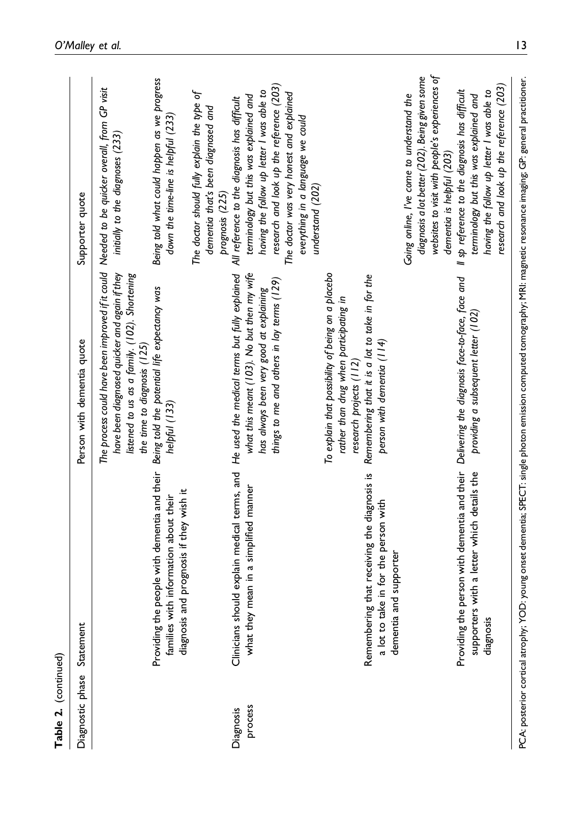| Table 2. (continued) |                                                                                                                                                                           |                                                                                                                                                                                                                                                                                                |                                                                                                                                                                                                                                                                                                                                                                 |
|----------------------|---------------------------------------------------------------------------------------------------------------------------------------------------------------------------|------------------------------------------------------------------------------------------------------------------------------------------------------------------------------------------------------------------------------------------------------------------------------------------------|-----------------------------------------------------------------------------------------------------------------------------------------------------------------------------------------------------------------------------------------------------------------------------------------------------------------------------------------------------------------|
| Diagnostic phase     | Statement                                                                                                                                                                 | Person with dementia quote                                                                                                                                                                                                                                                                     | Supporter quote                                                                                                                                                                                                                                                                                                                                                 |
|                      | Providing the people with dementia and their<br>families with information about their                                                                                     | The process could have been improved if it could Needed to be quicker overall, from GP visit<br>have been diagnosed quicker and again if they<br>listened to us as a family. (102). Shortening<br>Being told the potential life expectancy was<br>the time to diagnosis (125)<br>helpful (133) | Being told what could happen as we progress<br>down the time-line is helpful (233)<br>initially to the diagnoses (233)                                                                                                                                                                                                                                          |
| Diagnosis            | Clinicians should explain medical terms, and He used the medical terms but fully explained<br>diagnosis and prognosis if they wish it                                     |                                                                                                                                                                                                                                                                                                | The doctor should fully explain the type of<br>All reference to the diagnosis has difficult<br>dementia that's been diagnosed and<br>prognosis (225)                                                                                                                                                                                                            |
| process              | mean in a simplified manner<br>what they                                                                                                                                  | what this meant (103). No but then my wife<br>things to me and others in lay terms (129)<br>has always been very good at explaining                                                                                                                                                            | research and look up the reference (203)<br>having the follow up letter I was able to<br>The doctor was very honest and explained<br>terminology but this was explained and<br>everything in a language we could<br>understand (202)                                                                                                                            |
|                      | Remembering that receiving the diagnosis is<br>a lot to take in for the person with<br>and supporter<br>dementia                                                          | To explain that possibility of being on a placebo<br>Remembering that it is a lot to take in for the<br>rather than drug when participating in<br>person with dementia (114)<br>research projects (112)                                                                                        |                                                                                                                                                                                                                                                                                                                                                                 |
|                      | Providing the person with dementia and their Delivering the diagnosis face-to-face, face and<br>supporters with a letter which details the<br>diagnosis                   | providing a subsequent letter (102)                                                                                                                                                                                                                                                            | websites to visit with people's experiences of<br>diagnosis a lot better (202). Being given some<br>research and look up the reference (203)<br>Il sp reference to the diagnosis has difficult<br>having the follow up letter I was able to<br>Going online, I've come to understand the<br>terminology but this was explained and<br>dementia is helpful (203) |
|                      | PCA: posterior cortical atrophy; YOD: young onset dementia; SPECT: single photon emission computed tomography; MRI: magnetic resonance imaging; GP: general practitioner. |                                                                                                                                                                                                                                                                                                |                                                                                                                                                                                                                                                                                                                                                                 |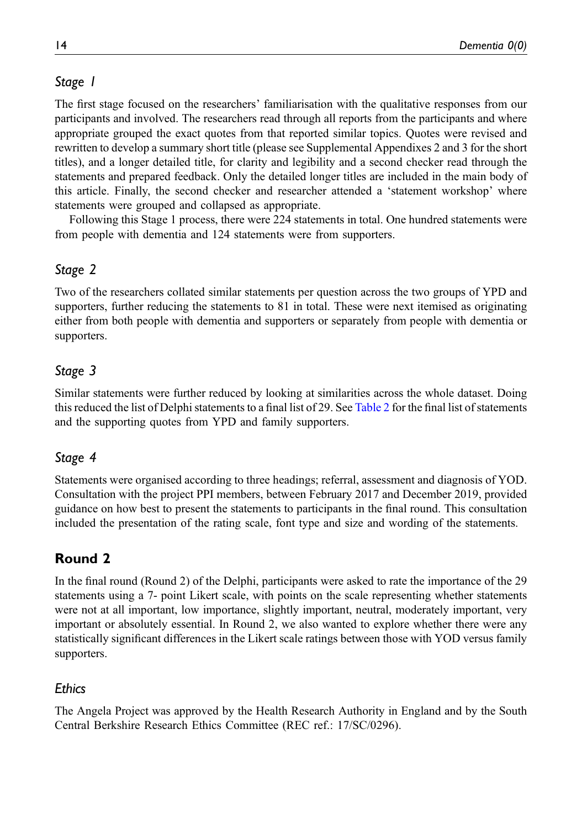# Stage 1

The first stage focused on the researchers' familiarisation with the qualitative responses from our participants and involved. The researchers read through all reports from the participants and where appropriate grouped the exact quotes from that reported similar topics. Quotes were revised and rewritten to develop a summary short title (please see Supplemental Appendixes 2 and 3 for the short titles), and a longer detailed title, for clarity and legibility and a second checker read through the statements and prepared feedback. Only the detailed longer titles are included in the main body of this article. Finally, the second checker and researcher attended a 'statement workshop' where statements were grouped and collapsed as appropriate.

Following this Stage 1 process, there were 224 statements in total. One hundred statements were from people with dementia and 124 statements were from supporters.

# Stage 2

Two of the researchers collated similar statements per question across the two groups of YPD and supporters, further reducing the statements to 81 in total. These were next itemised as originating either from both people with dementia and supporters or separately from people with dementia or supporters.

# Stage 3

Similar statements were further reduced by looking at similarities across the whole dataset. Doing this reduced the list of Delphi statements to a final list of 29. See [Table 2](#page-5-0) for the final list of statements and the supporting quotes from YPD and family supporters.

# Stage 4

Statements were organised according to three headings; referral, assessment and diagnosis of YOD. Consultation with the project PPI members, between February 2017 and December 2019, provided guidance on how best to present the statements to participants in the final round. This consultation included the presentation of the rating scale, font type and size and wording of the statements.

# Round 2

In the final round (Round 2) of the Delphi, participants were asked to rate the importance of the 29 statements using a 7- point Likert scale, with points on the scale representing whether statements were not at all important, low importance, slightly important, neutral, moderately important, very important or absolutely essential. In Round 2, we also wanted to explore whether there were any statistically significant differences in the Likert scale ratings between those with YOD versus family supporters.

# **Fthics**

The Angela Project was approved by the Health Research Authority in England and by the South Central Berkshire Research Ethics Committee (REC ref.: 17/SC/0296).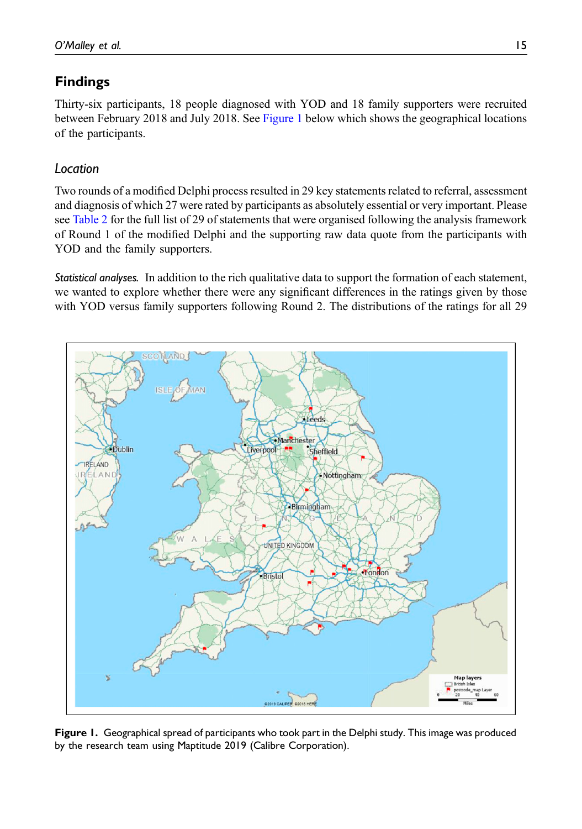# Findings

Thirty-six participants, 18 people diagnosed with YOD and 18 family supporters were recruited between February 2018 and July 2018. See [Figure 1](#page-14-0) below which shows the geographical locations of the participants.

# Location

Two rounds of a modified Delphi process resulted in 29 key statements related to referral, assessment and diagnosis of which 27 were rated by participants as absolutely essential or very important. Please see [Table 2](#page-5-0) for the full list of 29 of statements that were organised following the analysis framework of Round 1 of the modified Delphi and the supporting raw data quote from the participants with YOD and the family supporters.

Statistical analyses. In addition to the rich qualitative data to support the formation of each statement, we wanted to explore whether there were any significant differences in the ratings given by those with YOD versus family supporters following Round 2. The distributions of the ratings for all 29



<span id="page-14-0"></span>Figure 1. Geographical spread of participants who took part in the Delphi study. This image was produced by the research team using Maptitude 2019 (Calibre Corporation).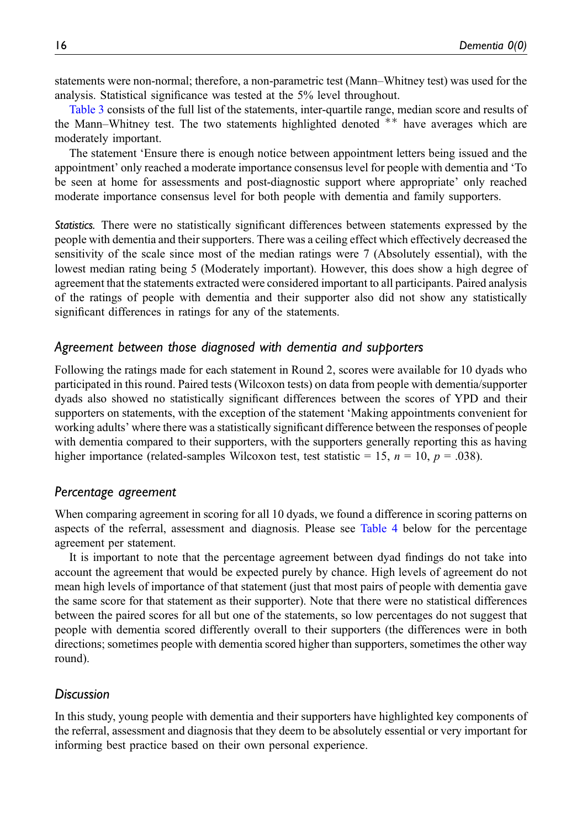statements were non-normal; therefore, a non-parametric test (Mann–Whitney test) was used for the analysis. Statistical significance was tested at the 5% level throughout.

[Table 3](#page-16-0) consists of the full list of the statements, inter-quartile range, median score and results of the Mann–Whitney test. The two statements highlighted denoted  $**$  have averages which are moderately important.

The statement 'Ensure there is enough notice between appointment letters being issued and the appointment' only reached a moderate importance consensus level for people with dementia and 'To be seen at home for assessments and post-diagnostic support where appropriate' only reached moderate importance consensus level for both people with dementia and family supporters.

Statistics. There were no statistically significant differences between statements expressed by the people with dementia and their supporters. There was a ceiling effect which effectively decreased the sensitivity of the scale since most of the median ratings were 7 (Absolutely essential), with the lowest median rating being 5 (Moderately important). However, this does show a high degree of agreement that the statements extracted were considered important to all participants. Paired analysis of the ratings of people with dementia and their supporter also did not show any statistically significant differences in ratings for any of the statements.

### Agreement between those diagnosed with dementia and supporters

Following the ratings made for each statement in Round 2, scores were available for 10 dyads who participated in this round. Paired tests (Wilcoxon tests) on data from people with dementia/supporter dyads also showed no statistically significant differences between the scores of YPD and their supporters on statements, with the exception of the statement 'Making appointments convenient for working adults' where there was a statistically significant difference between the responses of people with dementia compared to their supporters, with the supporters generally reporting this as having higher importance (related-samples Wilcoxon test, test statistic = 15,  $n = 10$ ,  $p = .038$ ).

### Percentage agreement

When comparing agreement in scoring for all 10 dyads, we found a difference in scoring patterns on aspects of the referral, assessment and diagnosis. Please see [Table 4](#page-19-0) below for the percentage agreement per statement.

It is important to note that the percentage agreement between dyad findings do not take into account the agreement that would be expected purely by chance. High levels of agreement do not mean high levels of importance of that statement (just that most pairs of people with dementia gave the same score for that statement as their supporter). Note that there were no statistical differences between the paired scores for all but one of the statements, so low percentages do not suggest that people with dementia scored differently overall to their supporters (the differences were in both directions; sometimes people with dementia scored higher than supporters, sometimes the other way round).

### **Discussion**

In this study, young people with dementia and their supporters have highlighted key components of the referral, assessment and diagnosis that they deem to be absolutely essential or very important for informing best practice based on their own personal experience.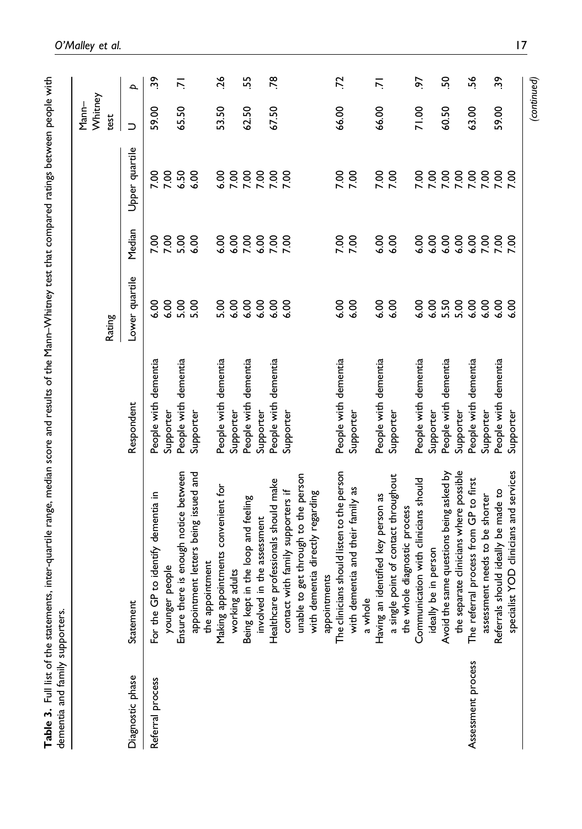<span id="page-16-0"></span>

| <br> <br>}<br>}<br>$\ddot{}}$<br>ments, inter-quartile range, median score and results of the Mann-Whitney test that compared ratings between people |                            |
|------------------------------------------------------------------------------------------------------------------------------------------------------|----------------------------|
| $\frac{1}{2}$ of $\frac{1}{2}$ of $\frac{1}{2}$ of $\frac{1}{2}$<br>l                                                                                | こうきょう こうこう こうこう てんきょう こうどう |
|                                                                                                                                                      |                            |

|                    |                                                                           |                      |                |                        |                             | Whitney<br>$Mann-$ |                 |
|--------------------|---------------------------------------------------------------------------|----------------------|----------------|------------------------|-----------------------------|--------------------|-----------------|
|                    |                                                                           |                      | Rating         |                        |                             | test               |                 |
| Diagnostic phase   | Statement                                                                 | Respondent           | Lower quartile | Median                 | Upper quartile              | ⊃                  | $\mathbf{a}$    |
| Referral process   | GP to identify dementia in<br>For the                                     | People with dementia | $\frac{8}{6}$  | <b>P.00</b>            | 7.00                        | 59.00              | 39              |
|                    | younger people                                                            | Supporter            | 6.00           | 7.00                   | 7.00                        |                    |                 |
|                    | Ensure there is enough notice between                                     | People with dementia | 5.00           | 5.00                   | 6.50                        | 65.50              | ŕ.              |
|                    | appointment letters being issued and<br>the appointment                   | Supporter            | 5.00           | 6.00                   | 6.00                        |                    |                 |
|                    | Making appointments convenient for                                        | People with dementia | 5.00           | 6.00                   | 6.00                        | 53.50              | 26              |
|                    | working adults                                                            | Supporter            | 6.00           | 6.00                   |                             |                    |                 |
|                    | Being kept in the loop and feeling                                        | People with dementia | 6.00           | 00<br>00<br>0 2<br>0 2 | 7.00<br>7.00<br>7.7<br>7.00 | 62.50              | ъ,              |
|                    | involved in the assessment                                                | Supporter            | 6.00           |                        |                             |                    |                 |
|                    | Healthcare professionals should make                                      | People with dementia | 6.00           |                        |                             | 67.50              | $\overline{78}$ |
|                    | contact with family supporters if                                         | Supporter            | 6.00           | 7.00                   | 7.00                        |                    |                 |
|                    | unable to get through to the person                                       |                      |                |                        |                             |                    |                 |
|                    | with dementia directly regarding                                          |                      |                |                        |                             |                    |                 |
|                    | appointments                                                              |                      |                |                        |                             |                    |                 |
|                    | The clinicians should listen to the person                                | People with dementia | 6.00           | 7.00                   | 7.00                        | 66.00              | 72              |
|                    | with dementia and their family as<br>a whole                              | Supporter            | 6.00           |                        |                             |                    |                 |
|                    |                                                                           |                      |                |                        |                             |                    |                 |
|                    | Having an identified key person as                                        | People with dementia | 6.00           | 6.00                   | 7.00                        | 66.00              | ż               |
|                    | te point of contact throughout<br>the whole diagnostic process<br>a singl | Supporter            | 6.00           | 6.00                   | 7.00                        |                    |                 |
|                    | Communication with clinicians should                                      | People with dementia | 6.00           | 6.00                   | 7.00                        | 71.00              | 5               |
|                    | ideally be in person                                                      | Supporter            | 6.00           | 6.00                   | 7.00                        |                    |                 |
|                    | Avoid the same questions being asked by                                   | People with dementia | 5.50           | 6.00                   | 888<br>XXX                  | 60.50              | <u>ငှ</u>       |
|                    | the separate clinicians where possible                                    | Supporter            | 5.00           |                        |                             |                    |                 |
| Assessment process | The referral process from GP to first                                     | People with dementia | 6.00           | 6.00                   |                             | 63.00              | ٷ               |
|                    | assessment needs to be shorter                                            | Supporter            | 6.00           | 7.00                   | 7.00                        |                    |                 |
|                    | Referrals should ideally be made to                                       | People with dementia | 6.00           | 7.00                   | 7.00                        | 59.00              | 39              |
|                    | specialist YOD clinicians and services                                    | Supporter            | 6.00           | 7.00                   | 7.00                        |                    |                 |
|                    |                                                                           |                      |                |                        |                             | (continued)        |                 |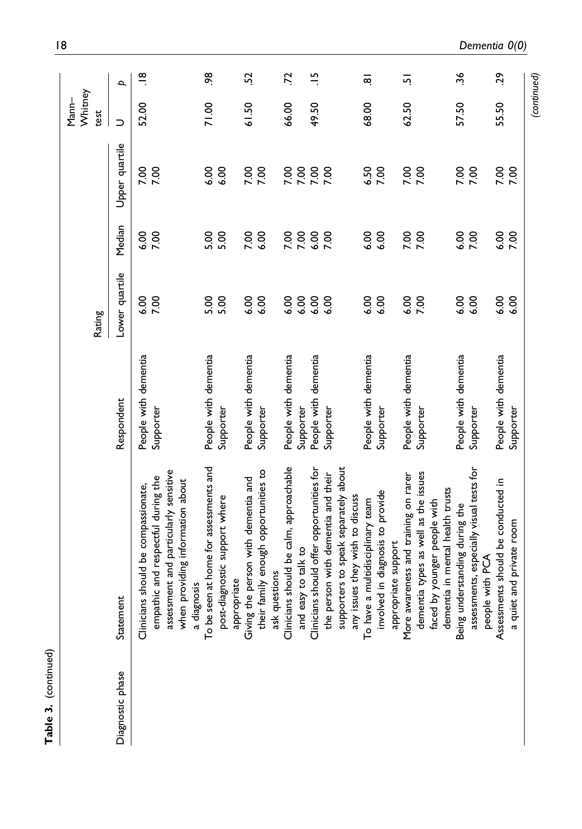|                  |                                                                                                                                                                |                                   | Rating         |              |                 | Whitney<br>Mann-<br>test |                        |
|------------------|----------------------------------------------------------------------------------------------------------------------------------------------------------------|-----------------------------------|----------------|--------------|-----------------|--------------------------|------------------------|
| Diagnostic phase | Statemen                                                                                                                                                       | Respondent                        | Lower quartile | Median       | Upper quartile  | $\supset$                | $\overline{a}$         |
|                  | assessment and particularly sensitive<br>ic and respectful during the<br>when providing information about<br>should be compassionate,<br>Clinicians<br>empathi | People with dementia<br>Supporter | 6.00<br>7.00   | 6.00<br>7.00 | 7.00            | 52.00                    | $\frac{\infty}{\cdot}$ |
|                  | To be seen at home for assessments and<br>post-diagnostic support where<br>a diagnosis                                                                         | People with dementia<br>Supporter | 5.00<br>5.00   | 5.00<br>5.00 | 6.00<br>6.00    | 71.00                    | æ                      |
|                  | their family enough opportunities to<br>Giving the person with dementia and<br>ask questions<br>appropriate                                                    | People with dementia<br>Supporter | 6.00<br>6.00   | 7.00<br>6.00 | 7.00<br>7.00    | 61.50                    | S.                     |
|                  | should be calm, approachable<br>and easy to talk to<br>Clinicians                                                                                              | People with dementia<br>Supporter | 6.00<br>6.00   | 7.00<br>7.00 | 00<br>002<br>27 | 66.00                    | Ľ.                     |
|                  | supporters to speak separately about<br>should offer opportunities for<br>the person with dementia and their<br>any issues they wish to discuss<br>Clinicians  | People with dementia<br>Supporter | 6.00<br>6.00   | 6.00<br>7.00 | 7.00            | 49.50                    | $\frac{10}{10}$        |
|                  | involved in diagnosis to provide<br>To have a multidisciplinary team<br>appropriate support                                                                    | People with dementia<br>Supporter | 6.00<br>6.00   | 6.00<br>6.00 | 6.50<br>7.00    | 68.00                    | $\overline{\infty}$    |
|                  | dementia types as well as the issues<br>More awareness and training on rarer<br>dementia in mental health trusts<br>faced by younger people with               | People with dementia<br>Supporter | 6.00<br>7.00   | 7.00<br>7.00 | 7.00<br>7.00    | 62.50                    | 5                      |
|                  | assessments, especially visual tests for<br>lerstanding during the<br>people with PCA<br>Being und                                                             | People with dementia<br>Supporter | 6.00<br>6.00   | 6.00<br>7.00 | 7.00            | 57.50                    | 36                     |
|                  | Assessments should be conducted in<br>and private room<br>a quiet                                                                                              | People with dementia<br>Supporter | 6.00<br>6.00   | 6.00<br>7.00 | 7.00<br>7.00    | 55.50                    | 29                     |
|                  |                                                                                                                                                                |                                   |                |              |                 | (continued)              |                        |

Table 3. (continued)

Table 3. (continued)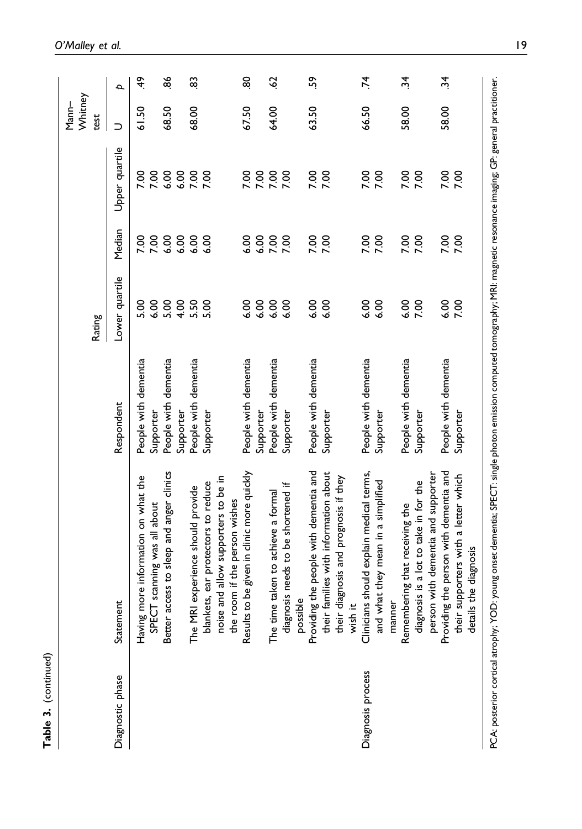|                   |                                                                                                                                                                           |                                   | Rating         |                   |                | Whitney<br>Mann-<br>test |                |
|-------------------|---------------------------------------------------------------------------------------------------------------------------------------------------------------------------|-----------------------------------|----------------|-------------------|----------------|--------------------------|----------------|
| Diagnostic phase  | Statement                                                                                                                                                                 | Respondent                        | Lower quartile | Median            | Upper quartile | $\supset$                | $\overline{a}$ |
|                   | Having more information on what the                                                                                                                                       | People with dementia              | 6.00<br>5.00   | 7.00              | 7.00<br>7.00   | 61.50                    | ĜÞ.            |
|                   | access to sleep and anger clinics<br>SPECT scanning was all about<br>Better                                                                                               | People with dementia<br>Supporter | 5.00           | 7.00              | 6.00           | 68.50                    | æ              |
|                   | The MRI experience should provide                                                                                                                                         | People with dementia<br>Supporter | 4.00<br>5.50   | 8.8<br>6.9<br>6.9 | 6.00<br>7.00   | 68.00                    | 8              |
|                   | blankets, ear protectors to reduce                                                                                                                                        | Supporter                         | 5.00           |                   | 7.00           |                          |                |
|                   | noise and allow supporters to be in<br>the room if the person wishes                                                                                                      |                                   |                |                   |                |                          |                |
|                   | to be given in clinic more quickly<br>Results                                                                                                                             | People with dementia              | 6.00           | 6.00              | <b>P.OO</b>    | 67.50                    | 8              |
|                   |                                                                                                                                                                           | Supporter                         | 6.00           |                   | 7.00           |                          |                |
|                   | The time taken to achieve a formal                                                                                                                                        | People with dementia              | 6.00           | 8888              | 7.00           | 64.00                    | $\overline{5}$ |
|                   | diagnosis needs to be shortened if<br>possible                                                                                                                            | Supporter                         | 6.00           |                   | 7.00           |                          |                |
|                   | Providing the people with dementia and                                                                                                                                    | People with dementia              | 6.00           | 7.00              | 7.00           | 63.50                    | ςŚ             |
|                   | families with information about<br>diagnosis and prognosis if they<br>their<br>their<br>wish                                                                              | Supporter                         | 6.00           |                   | 7.00           |                          |                |
| Diagnosis process | Clinicians should explain medical terms,                                                                                                                                  | People with dementia              | 6.00           | 7.00              | 7.00           | 66.50                    | ΣÁ.            |
|                   | and what they mean in a simplified<br>manner                                                                                                                              | Supporter                         | 6.00           |                   | 7.00           |                          |                |
|                   | Remembering that receiving the                                                                                                                                            | People with dementia              | 6.00           |                   |                | 58.00                    | $\ddot{a}$     |
|                   | person with dementia and supporter<br>diagnosis is a lot to take in for the                                                                                               | Supporter                         | 7.00           | 7.00              | 7.00           |                          |                |
|                   | Providing the person with dementia and                                                                                                                                    | People with dementia              | 6.00           | 7.00              | 7.00           | 58.00                    | يز.            |
|                   | supporters with a letter which<br>Is the diagnosis<br>their<br>detail                                                                                                     | Supporter                         | 7.00           |                   |                |                          |                |
|                   | PCA: posterior cortical atrophy; YOD: young onset dementia; SPECT: single photon emission computed tomography; MRI: magnetic resonance imaging; GP: general practitioner. |                                   |                |                   |                |                          |                |

Table 3. (continued)

Table 3. (continued)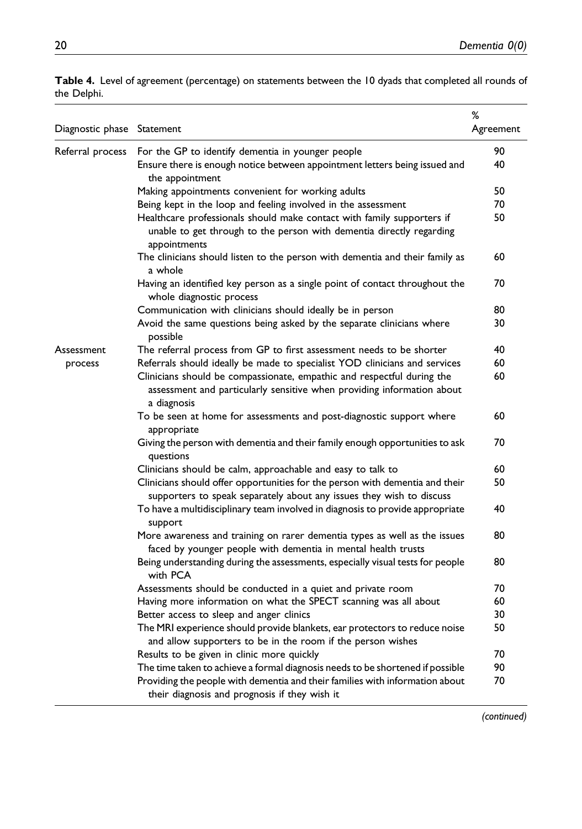| Diagnostic phase Statement |                                                                                                                                                                 | %<br>Agreement |
|----------------------------|-----------------------------------------------------------------------------------------------------------------------------------------------------------------|----------------|
| Referral process           | For the GP to identify dementia in younger people                                                                                                               | 90             |
|                            | Ensure there is enough notice between appointment letters being issued and<br>the appointment                                                                   | 40             |
|                            | Making appointments convenient for working adults                                                                                                               | 50             |
|                            | Being kept in the loop and feeling involved in the assessment                                                                                                   | 70             |
|                            | Healthcare professionals should make contact with family supporters if<br>unable to get through to the person with dementia directly regarding<br>appointments  | 50             |
|                            | The clinicians should listen to the person with dementia and their family as<br>a whole                                                                         | 60             |
|                            | Having an identified key person as a single point of contact throughout the<br>whole diagnostic process                                                         | 70             |
|                            | Communication with clinicians should ideally be in person                                                                                                       | 80             |
|                            | Avoid the same questions being asked by the separate clinicians where<br>possible                                                                               | 30             |
| Assessment                 | The referral process from GP to first assessment needs to be shorter                                                                                            | 40             |
| process                    | Referrals should ideally be made to specialist YOD clinicians and services                                                                                      | 60             |
|                            | Clinicians should be compassionate, empathic and respectful during the<br>assessment and particularly sensitive when providing information about<br>a diagnosis | 60             |
|                            | To be seen at home for assessments and post-diagnostic support where<br>appropriate                                                                             | 60             |
|                            | Giving the person with dementia and their family enough opportunities to ask<br>questions                                                                       | 70             |
|                            | Clinicians should be calm, approachable and easy to talk to                                                                                                     | 60             |
|                            | Clinicians should offer opportunities for the person with dementia and their<br>supporters to speak separately about any issues they wish to discuss            | 50             |
|                            | To have a multidisciplinary team involved in diagnosis to provide appropriate<br>support                                                                        | 40             |
|                            | More awareness and training on rarer dementia types as well as the issues<br>faced by younger people with dementia in mental health trusts                      | 80             |
|                            | Being understanding during the assessments, especially visual tests for people<br>with PCA                                                                      | 80             |
|                            | Assessments should be conducted in a quiet and private room                                                                                                     | 70             |
|                            | Having more information on what the SPECT scanning was all about                                                                                                | 60             |
|                            | Better access to sleep and anger clinics                                                                                                                        | 30             |
|                            | The MRI experience should provide blankets, ear protectors to reduce noise<br>and allow supporters to be in the room if the person wishes                       | 50             |
|                            | Results to be given in clinic more quickly                                                                                                                      | 70             |
|                            | The time taken to achieve a formal diagnosis needs to be shortened if possible                                                                                  | 90             |
|                            | Providing the people with dementia and their families with information about<br>their diagnosis and prognosis if they wish it                                   | 70             |

<span id="page-19-0"></span>Table 4. Level of agreement (percentage) on statements between the 10 dyads that completed all rounds of the Delphi.

(continued)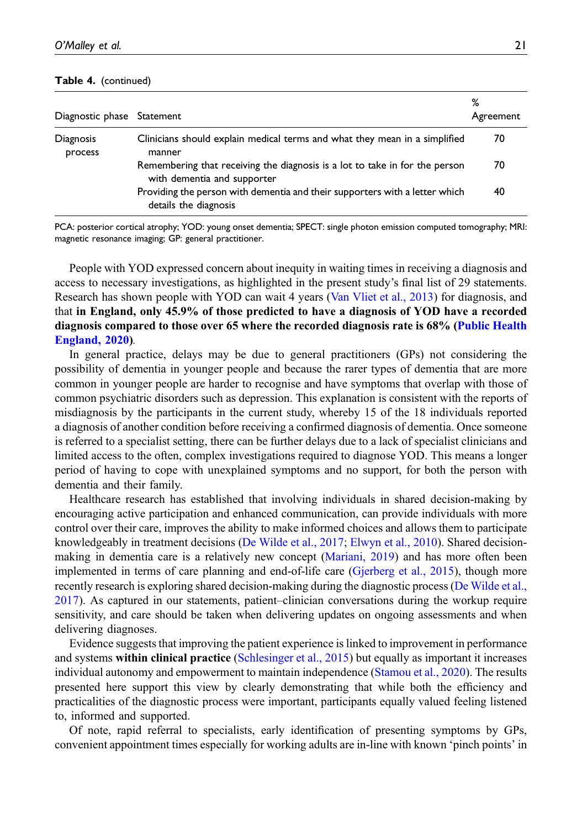#### Table 4. (continued)

| Diagnostic phase Statement |                                                                                                            | %<br>Agreement |
|----------------------------|------------------------------------------------------------------------------------------------------------|----------------|
| Diagnosis<br>process       | Clinicians should explain medical terms and what they mean in a simplified<br>manner                       | 70             |
|                            | Remembering that receiving the diagnosis is a lot to take in for the person<br>with dementia and supporter | 70             |
|                            | Providing the person with dementia and their supporters with a letter which<br>details the diagnosis       | 40             |

PCA: posterior cortical atrophy; YOD: young onset dementia; SPECT: single photon emission computed tomography; MRI: magnetic resonance imaging; GP: general practitioner.

People with YOD expressed concern about inequity in waiting times in receiving a diagnosis and access to necessary investigations, as highlighted in the present study's final list of 29 statements. Research has shown people with YOD can wait 4 years ([Van Vliet et al., 2013](#page-25-3)) for diagnosis, and that in England, only 45.9% of those predicted to have a diagnosis of YOD have a recorded diagnosis compared to those over 65 where the recorded diagnosis rate is 68% ([Public Health](#page-24-10) [England, 2020\)](#page-24-10).

In general practice, delays may be due to general practitioners (GPs) not considering the possibility of dementia in younger people and because the rarer types of dementia that are more common in younger people are harder to recognise and have symptoms that overlap with those of common psychiatric disorders such as depression. This explanation is consistent with the reports of misdiagnosis by the participants in the current study, whereby 15 of the 18 individuals reported a diagnosis of another condition before receiving a confirmed diagnosis of dementia. Once someone is referred to a specialist setting, there can be further delays due to a lack of specialist clinicians and limited access to the often, complex investigations required to diagnose YOD. This means a longer period of having to cope with unexplained symptoms and no support, for both the person with dementia and their family.

Healthcare research has established that involving individuals in shared decision-making by encouraging active participation and enhanced communication, can provide individuals with more control over their care, improves the ability to make informed choices and allows them to participate knowledgeably in treatment decisions ([De Wilde et al., 2017;](#page-23-1) [Elwyn et al., 2010](#page-24-11)). Shared decisionmaking in dementia care is a relatively new concept [\(Mariani, 2019\)](#page-24-12) and has more often been implemented in terms of care planning and end-of-life care ([Gjerberg et al., 2015](#page-24-13)), though more recently research is exploring shared decision-making during the diagnostic process [\(De Wilde et al.,](#page-23-1) [2017](#page-23-1)). As captured in our statements, patient–clinician conversations during the workup require sensitivity, and care should be taken when delivering updates on ongoing assessments and when delivering diagnoses.

Evidence suggests that improving the patient experience is linked to improvement in performance and systems within clinical practice ([Schlesinger et al., 2015](#page-25-14)) but equally as important it increases individual autonomy and empowerment to maintain independence [\(Stamou et al., 2020\)](#page-25-15). The results presented here support this view by clearly demonstrating that while both the efficiency and practicalities of the diagnostic process were important, participants equally valued feeling listened to, informed and supported.

Of note, rapid referral to specialists, early identification of presenting symptoms by GPs, convenient appointment times especially for working adults are in-line with known 'pinch points' in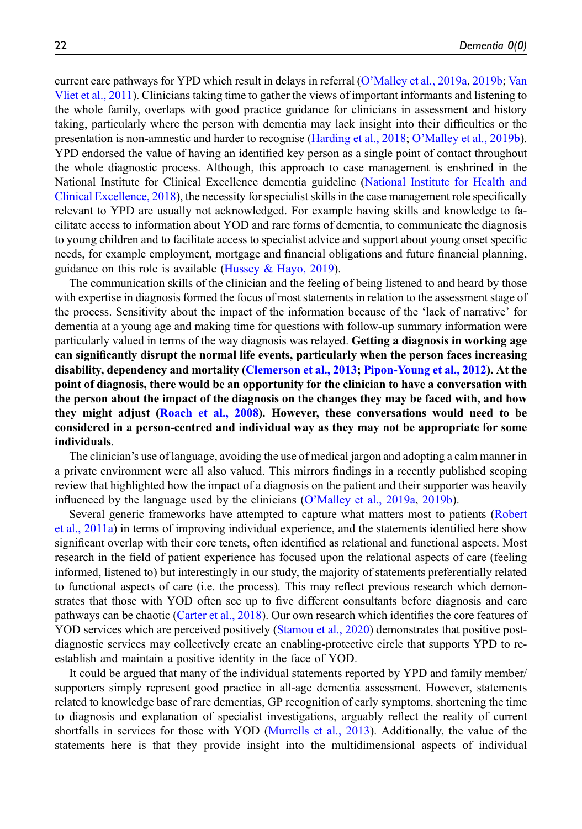current care pathways for YPD which result in delays in referral (O'[Malley et al., 2019a,](#page-24-1) [2019b](#page-24-14); [Van](#page-25-16) [Vliet et al., 2011\)](#page-25-16). Clinicians taking time to gather the views of important informants and listening to the whole family, overlaps with good practice guidance for clinicians in assessment and history taking, particularly where the person with dementia may lack insight into their difficulties or the presentation is non-amnestic and harder to recognise ([Harding et al., 2018](#page-24-2); O'[Malley et al., 2019b\)](#page-24-14). YPD endorsed the value of having an identified key person as a single point of contact throughout the whole diagnostic process. Although, this approach to case management is enshrined in the National Institute for Clinical Excellence dementia guideline ([National Institute for Health and](#page-24-15) [Clinical Excellence, 2018\)](#page-24-15), the necessity for specialist skills in the case management role specifically relevant to YPD are usually not acknowledged. For example having skills and knowledge to facilitate access to information about YOD and rare forms of dementia, to communicate the diagnosis to young children and to facilitate access to specialist advice and support about young onset specific needs, for example employment, mortgage and financial obligations and future financial planning, guidance on this role is available (Hussey  $\&$  Hayo, 2019).

The communication skills of the clinician and the feeling of being listened to and heard by those with expertise in diagnosis formed the focus of most statements in relation to the assessment stage of the process. Sensitivity about the impact of the information because of the 'lack of narrative' for dementia at a young age and making time for questions with follow-up summary information were particularly valued in terms of the way diagnosis was relayed. Getting a diagnosis in working age can significantly disrupt the normal life events, particularly when the person faces increasing disability, dependency and mortality ([Clemerson et al., 2013;](#page-23-2) [Pipon-Young et al., 2012\)](#page-24-17). At the point of diagnosis, there would be an opportunity for the clinician to have a conversation with the person about the impact of the diagnosis on the changes they may be faced with, and how they might adjust [\(Roach et al., 2008](#page-25-17)). However, these conversations would need to be considered in a person-centred and individual way as they may not be appropriate for some individuals.

The clinician's use of language, avoiding the use of medical jargon and adopting a calm manner in a private environment were all also valued. This mirrors findings in a recently published scoping review that highlighted how the impact of a diagnosis on the patient and their supporter was heavily influenced by the language used by the clinicians (O'[Malley et al., 2019a](#page-24-1), [2019b\)](#page-24-14).

Several generic frameworks have attempted to capture what matters most to patients ([Robert](#page-25-18) [et al., 2011a\)](#page-25-18) in terms of improving individual experience, and the statements identified here show significant overlap with their core tenets, often identified as relational and functional aspects. Most research in the field of patient experience has focused upon the relational aspects of care (feeling informed, listened to) but interestingly in our study, the majority of statements preferentially related to functional aspects of care (i.e. the process). This may reflect previous research which demonstrates that those with YOD often see up to five different consultants before diagnosis and care pathways can be chaotic [\(Carter et al., 2018\)](#page-23-3). Our own research which identifies the core features of YOD services which are perceived positively [\(Stamou et al., 2020\)](#page-25-15) demonstrates that positive postdiagnostic services may collectively create an enabling-protective circle that supports YPD to reestablish and maintain a positive identity in the face of YOD.

It could be argued that many of the individual statements reported by YPD and family member/ supporters simply represent good practice in all-age dementia assessment. However, statements related to knowledge base of rare dementias, GP recognition of early symptoms, shortening the time to diagnosis and explanation of specialist investigations, arguably reflect the reality of current shortfalls in services for those with YOD [\(Murrells et al., 2013](#page-24-18)). Additionally, the value of the statements here is that they provide insight into the multidimensional aspects of individual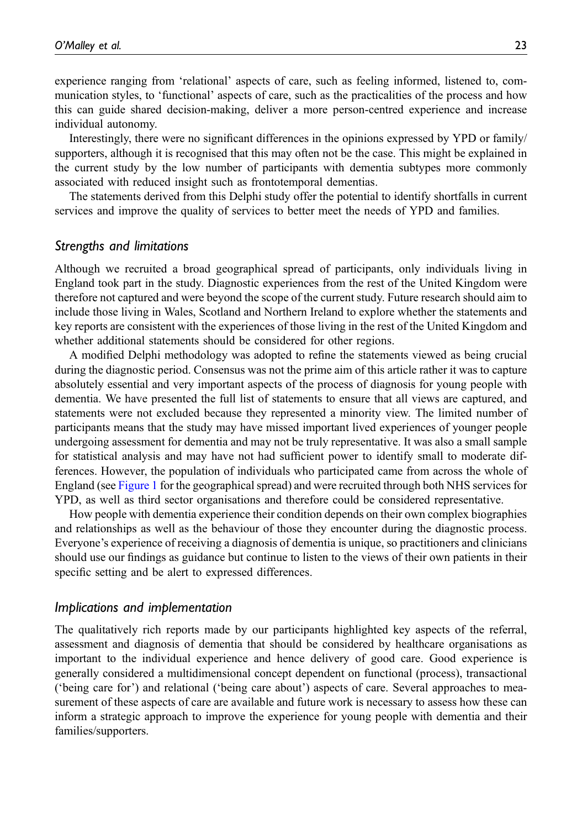experience ranging from 'relational' aspects of care, such as feeling informed, listened to, communication styles, to 'functional' aspects of care, such as the practicalities of the process and how this can guide shared decision-making, deliver a more person-centred experience and increase individual autonomy.

Interestingly, there were no significant differences in the opinions expressed by YPD or family/ supporters, although it is recognised that this may often not be the case. This might be explained in the current study by the low number of participants with dementia subtypes more commonly associated with reduced insight such as frontotemporal dementias.

The statements derived from this Delphi study offer the potential to identify shortfalls in current services and improve the quality of services to better meet the needs of YPD and families.

#### Strengths and limitations

Although we recruited a broad geographical spread of participants, only individuals living in England took part in the study. Diagnostic experiences from the rest of the United Kingdom were therefore not captured and were beyond the scope of the current study. Future research should aim to include those living in Wales, Scotland and Northern Ireland to explore whether the statements and key reports are consistent with the experiences of those living in the rest of the United Kingdom and whether additional statements should be considered for other regions.

A modified Delphi methodology was adopted to refine the statements viewed as being crucial during the diagnostic period. Consensus was not the prime aim of this article rather it was to capture absolutely essential and very important aspects of the process of diagnosis for young people with dementia. We have presented the full list of statements to ensure that all views are captured, and statements were not excluded because they represented a minority view. The limited number of participants means that the study may have missed important lived experiences of younger people undergoing assessment for dementia and may not be truly representative. It was also a small sample for statistical analysis and may have not had sufficient power to identify small to moderate differences. However, the population of individuals who participated came from across the whole of England (see [Figure 1](#page-14-0) for the geographical spread) and were recruited through both NHS services for YPD, as well as third sector organisations and therefore could be considered representative.

How people with dementia experience their condition depends on their own complex biographies and relationships as well as the behaviour of those they encounter during the diagnostic process. Everyone's experience of receiving a diagnosis of dementia is unique, so practitioners and clinicians should use our findings as guidance but continue to listen to the views of their own patients in their specific setting and be alert to expressed differences.

#### Implications and implementation

The qualitatively rich reports made by our participants highlighted key aspects of the referral, assessment and diagnosis of dementia that should be considered by healthcare organisations as important to the individual experience and hence delivery of good care. Good experience is generally considered a multidimensional concept dependent on functional (process), transactional ('being care for') and relational ('being care about') aspects of care. Several approaches to measurement of these aspects of care are available and future work is necessary to assess how these can inform a strategic approach to improve the experience for young people with dementia and their families/supporters.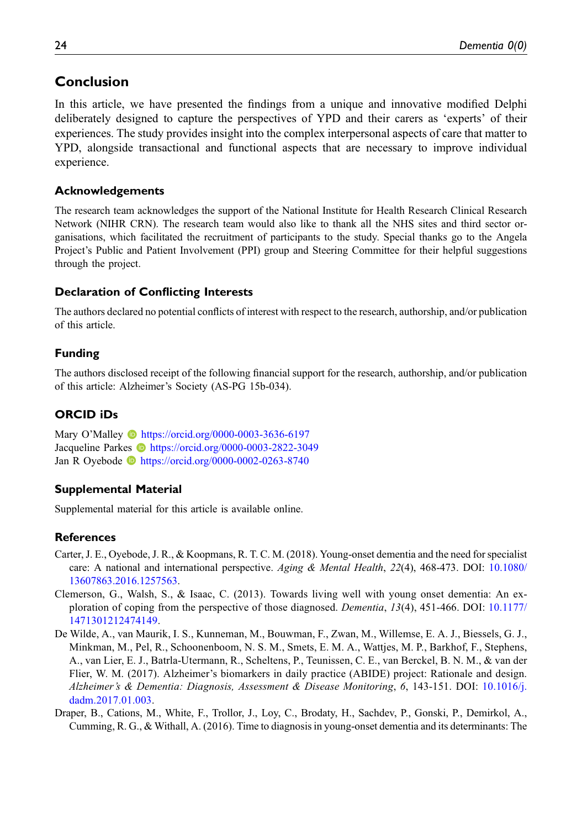# Conclusion

In this article, we have presented the findings from a unique and innovative modified Delphi deliberately designed to capture the perspectives of YPD and their carers as 'experts' of their experiences. The study provides insight into the complex interpersonal aspects of care that matter to YPD, alongside transactional and functional aspects that are necessary to improve individual experience.

### Acknowledgements

The research team acknowledges the support of the National Institute for Health Research Clinical Research Network (NIHR CRN). The research team would also like to thank all the NHS sites and third sector organisations, which facilitated the recruitment of participants to the study. Special thanks go to the Angela Project's Public and Patient Involvement (PPI) group and Steering Committee for their helpful suggestions through the project.

# Declaration of Conflicting Interests

The authors declared no potential conflicts of interest with respect to the research, authorship, and/or publication of this article.

# Funding

The authors disclosed receipt of the following financial support for the research, authorship, and/or publication of this article: Alzheimer's Society (AS-PG 15b-034).

# ORCID iDs

Mary O'Malley **b** <https://orcid.org/0000-0003-3636-6197> Jacqueline Parkes **ID** <https://orcid.org/0000-0003-2822-3049> Jan R Oyebode **ID** <https://orcid.org/0000-0002-0263-8740>

### Supplemental Material

Supplemental material for this article is available online.

### **References**

- <span id="page-23-3"></span>Carter, J. E., Oyebode, J. R., & Koopmans, R. T. C. M. (2018). Young-onset dementia and the need for specialist care: A national and international perspective. Aging & Mental Health, 22(4), 468-473. DOI: [10.1080/](https://doi.org/10.1080/13607863.2016.1257563) [13607863.2016.1257563.](https://doi.org/10.1080/13607863.2016.1257563)
- <span id="page-23-2"></span>Clemerson, G., Walsh, S., & Isaac, C. (2013). Towards living well with young onset dementia: An exploration of coping from the perspective of those diagnosed. *Dementia*, 13(4), 451-466. DOI: [10.1177/](https://doi.org/10.1177/1471301212474149) [1471301212474149.](https://doi.org/10.1177/1471301212474149)
- <span id="page-23-1"></span>De Wilde, A., van Maurik, I. S., Kunneman, M., Bouwman, F., Zwan, M., Willemse, E. A. J., Biessels, G. J., Minkman, M., Pel, R., Schoonenboom, N. S. M., Smets, E. M. A., Wattjes, M. P., Barkhof, F., Stephens, A., van Lier, E. J., Batrla-Utermann, R., Scheltens, P., Teunissen, C. E., van Berckel, B. N. M., & van der Flier, W. M. (2017). Alzheimer's biomarkers in daily practice (ABIDE) project: Rationale and design. Alzheimer's & Dementia: Diagnosis, Assessment & Disease Monitoring, 6, 143-151. DOI: [10.1016/j.](https://doi.org/10.1016/j.dadm.2017.01.003) [dadm.2017.01.003.](https://doi.org/10.1016/j.dadm.2017.01.003)
- <span id="page-23-0"></span>Draper, B., Cations, M., White, F., Trollor, J., Loy, C., Brodaty, H., Sachdev, P., Gonski, P., Demirkol, A., Cumming, R. G., & Withall, A. (2016). Time to diagnosis in young-onset dementia and its determinants: The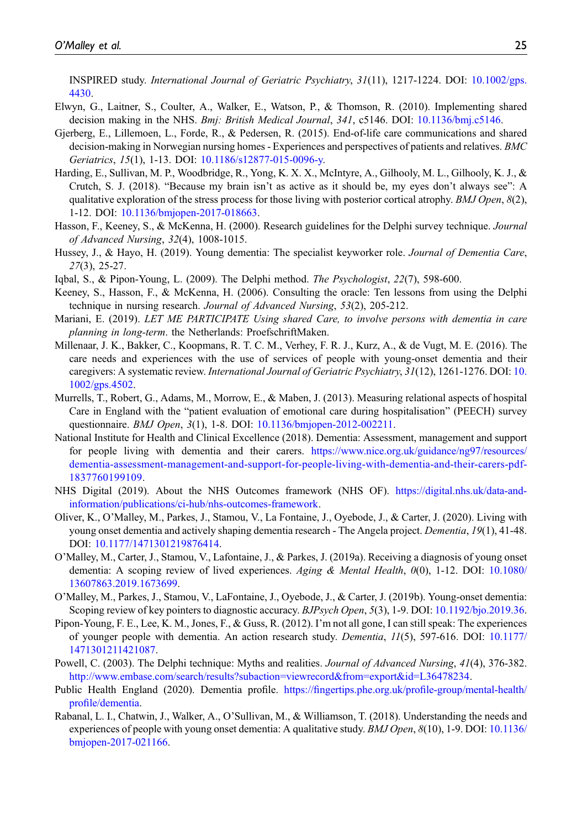INSPIRED study. International Journal of Geriatric Psychiatry, 31(11), 1217-1224. DOI: [10.1002/gps.](https://doi.org/10.1002/gps.4430) [4430](https://doi.org/10.1002/gps.4430).

- <span id="page-24-11"></span>Elwyn, G., Laitner, S., Coulter, A., Walker, E., Watson, P., & Thomson, R. (2010). Implementing shared decision making in the NHS. *Bmj: British Medical Journal*, 341, c5146. DOI: [10.1136/bmj.c5146.](https://doi.org/10.1136/bmj.c5146)
- <span id="page-24-13"></span>Gjerberg, E., Lillemoen, L., Forde, R., & Pedersen, R. (2015). End-of-life care communications and shared decision-making in Norwegian nursing homes - Experiences and perspectives of patients and relatives. BMC Geriatrics, 15(1), 1-13. DOI: [10.1186/s12877-015-0096-y.](https://doi.org/10.1186/s12877-015-0096-y)
- <span id="page-24-2"></span>Harding, E., Sullivan, M. P., Woodbridge, R., Yong, K. X. X., McIntyre, A., Gilhooly, M. L., Gilhooly, K. J., & Crutch, S. J. (2018). "Because my brain isn't as active as it should be, my eyes don't always see": A qualitative exploration of the stress process for those living with posterior cortical atrophy. *BMJ Open*,  $8(2)$ , 1-12. DOI: [10.1136/bmjopen-2017-018663](https://doi.org/10.1136/bmjopen-2017-018663).
- <span id="page-24-6"></span>Hasson, F., Keeney, S., & McKenna, H. (2000). Research guidelines for the Delphi survey technique. *Journal* of Advanced Nursing, 32(4), 1008-1015.
- <span id="page-24-16"></span>Hussey, J., & Hayo, H. (2019). Young dementia: The specialist keyworker role. Journal of Dementia Care, 27(3), 25-27.
- <span id="page-24-8"></span><span id="page-24-7"></span>Iqbal, S., & Pipon-Young, L. (2009). The Delphi method. The Psychologist, 22(7), 598-600.
- Keeney, S., Hasson, F., & McKenna, H. (2006). Consulting the oracle: Ten lessons from using the Delphi technique in nursing research. Journal of Advanced Nursing, 53(2), 205-212.
- <span id="page-24-12"></span>Mariani, E. (2019). LET ME PARTICIPATE Using shared Care, to involve persons with dementia in care planning in long-term. the Netherlands: ProefschriftMaken.
- <span id="page-24-3"></span>Millenaar, J. K., Bakker, C., Koopmans, R. T. C. M., Verhey, F. R. J., Kurz, A., & de Vugt, M. E. (2016). The care needs and experiences with the use of services of people with young-onset dementia and their caregivers: A systematic review. International Journal of Geriatric Psychiatry, 31(12), 1261-1276. DOI: [10.](https://doi.org/10.1002/gps.4502) [1002/gps.4502](https://doi.org/10.1002/gps.4502).
- <span id="page-24-18"></span>Murrells, T., Robert, G., Adams, M., Morrow, E., & Maben, J. (2013). Measuring relational aspects of hospital Care in England with the "patient evaluation of emotional care during hospitalisation" (PEECH) survey questionnaire. *BMJ Open*, 3(1), 1-8. DOI: [10.1136/bmjopen-2012-002211.](https://doi.org/10.1136/bmjopen-2012-002211)
- <span id="page-24-15"></span>National Institute for Health and Clinical Excellence (2018). Dementia: Assessment, management and support for people living with dementia and their carers. [https://www.nice.org.uk/guidance/ng97/resources/](https://www.nice.org.uk/guidance/ng97/resources/dementia-assessment-management-and-support-for-people-living-with-dementia-and-their-carers-pdf-1837760199109) [dementia-assessment-management-and-support-for-people-living-with-dementia-and-their-carers-pdf-](https://www.nice.org.uk/guidance/ng97/resources/dementia-assessment-management-and-support-for-people-living-with-dementia-and-their-carers-pdf-1837760199109)[1837760199109.](https://www.nice.org.uk/guidance/ng97/resources/dementia-assessment-management-and-support-for-people-living-with-dementia-and-their-carers-pdf-1837760199109)
- <span id="page-24-0"></span>NHS Digital (2019). About the NHS Outcomes framework (NHS OF). [https://digital.nhs.uk/data-and](https://digital.nhs.uk/data-and-information/publications/ci-hub/nhs-outcomes-framework)[information/publications/ci-hub/nhs-outcomes-framework.](https://digital.nhs.uk/data-and-information/publications/ci-hub/nhs-outcomes-framework)
- <span id="page-24-5"></span>Oliver, K., O'Malley, M., Parkes, J., Stamou, V., La Fontaine, J., Oyebode, J., & Carter, J. (2020). Living with young onset dementia and actively shaping dementia research - The Angela project. Dementia, 19(1), 41-48. DOI: [10.1177/1471301219876414.](https://doi.org/10.1177/1471301219876414)
- <span id="page-24-1"></span>O'Malley, M., Carter, J., Stamou, V., Lafontaine, J., & Parkes, J. (2019a). Receiving a diagnosis of young onset dementia: A scoping review of lived experiences. Aging & Mental Health, 0(0), 1-12. DOI: [10.1080/](https://doi.org/10.1080/13607863.2019.1673699) [13607863.2019.1673699.](https://doi.org/10.1080/13607863.2019.1673699)
- <span id="page-24-14"></span>O'Malley, M., Parkes, J., Stamou, V., LaFontaine, J., Oyebode, J., & Carter, J. (2019b). Young-onset dementia: Scoping review of key pointers to diagnostic accuracy. BJPsych Open, 5(3), 1-9. DOI: [10.1192/bjo.2019.36](https://doi.org/10.1192/bjo.2019.36).
- <span id="page-24-17"></span>Pipon-Young, F. E., Lee, K. M., Jones, F., & Guss, R. (2012). I'm not all gone, I can still speak: The experiences of younger people with dementia. An action research study. Dementia, 11(5), 597-616. DOI: [10.1177/](https://doi.org/10.1177/1471301211421087) [1471301211421087.](https://doi.org/10.1177/1471301211421087)
- <span id="page-24-9"></span>Powell, C. (2003). The Delphi technique: Myths and realities. Journal of Advanced Nursing, 41(4), 376-382. [http://www.embase.com/search/results?subaction=viewrecord&from=export&id=L36478234.](http://www.embase.com/search/results?subaction=viewrecord&from=export&id=L36478234)
- <span id="page-24-10"></span>Public Health England (2020). Dementia profile. https://fingertips.phe.org.uk/profi[le-group/mental-health/](https://fingertips.phe.org.uk/profile-group/mental-health/profile/dementia) profi[le/dementia](https://fingertips.phe.org.uk/profile-group/mental-health/profile/dementia).
- <span id="page-24-4"></span>Rabanal, L. I., Chatwin, J., Walker, A., O'Sullivan, M., & Williamson, T. (2018). Understanding the needs and experiences of people with young onset dementia: A qualitative study. *BMJ Open*,  $8(10)$ , 1-9. DOI: [10.1136/](https://doi.org/10.1136/bmjopen-2017-021166) [bmjopen-2017-021166.](https://doi.org/10.1136/bmjopen-2017-021166)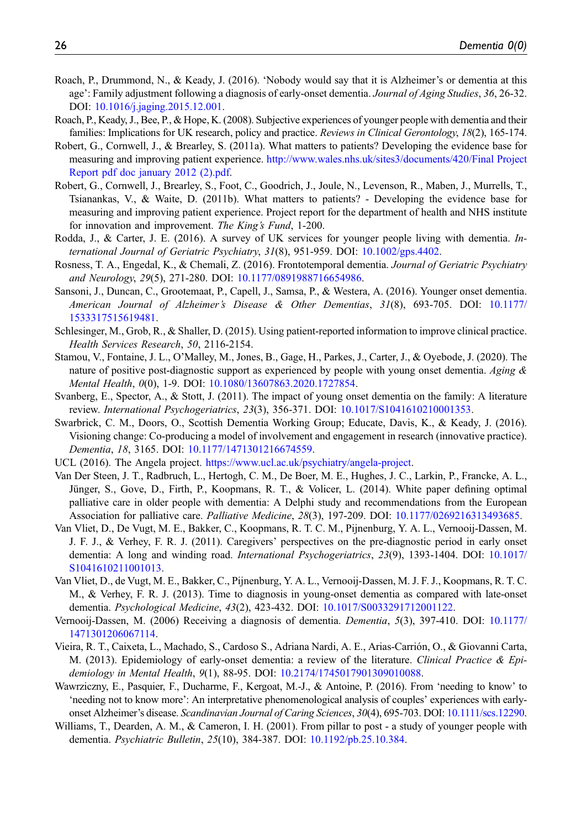- <span id="page-25-9"></span>Roach, P., Drummond, N., & Keady, J. (2016). 'Nobody would say that it is Alzheimer's or dementia at this age': Family adjustment following a diagnosis of early-onset dementia. Journal of Aging Studies, 36, 26-32. DOI: [10.1016/j.jaging.2015.12.001](https://doi.org/10.1016/j.jaging.2015.12.001).
- <span id="page-25-17"></span>Roach, P., Keady, J., Bee, P., & Hope, K. (2008). Subjective experiences of younger people with dementia and their families: Implications for UK research, policy and practice. Reviews in Clinical Gerontology, 18(2), 165-174.
- <span id="page-25-18"></span>Robert, G., Cornwell, J., & Brearley, S. (2011a). What matters to patients? Developing the evidence base for measuring and improving patient experience. [http://www.wales.nhs.uk/sites3/documents/420/Final Project](http://www.wales.nhs.uk/sites3/documents/420/Final%20Project%20Report%20pdf%20doc%20january%202012%20(2).pdf) [Report pdf doc january 2012 \(2\).pdf](http://www.wales.nhs.uk/sites3/documents/420/Final%20Project%20Report%20pdf%20doc%20january%202012%20(2).pdf).
- <span id="page-25-0"></span>Robert, G., Cornwell, J., Brearley, S., Foot, C., Goodrich, J., Joule, N., Levenson, R., Maben, J., Murrells, T., Tsianankas, V., & Waite, D. (2011b). What matters to patients? - Developing the evidence base for measuring and improving patient experience. Project report for the department of health and NHS institute for innovation and improvement. The King's Fund, 1-200.
- <span id="page-25-1"></span>Rodda, J., & Carter, J. E. (2016). A survey of UK services for younger people living with dementia. International Journal of Geriatric Psychiatry, 31(8), 951-959. DOI: [10.1002/gps.4402.](https://doi.org/10.1002/gps.4402)
- <span id="page-25-5"></span>Rosness, T. A., Engedal, K., & Chemali, Z. (2016). Frontotemporal dementia. Journal of Geriatric Psychiatry and Neurology, 29(5), 271-280. DOI: [10.1177/0891988716654986](https://doi.org/10.1177/0891988716654986).
- <span id="page-25-8"></span>Sansoni, J., Duncan, C., Grootemaat, P., Capell, J., Samsa, P., & Westera, A. (2016). Younger onset dementia. American Journal of Alzheimer's Disease & Other Dementias, 31(8), 693-705. DOI: [10.1177/](https://doi.org/10.1177/1533317515619481) [1533317515619481](https://doi.org/10.1177/1533317515619481).
- <span id="page-25-14"></span>Schlesinger, M., Grob, R., & Shaller, D. (2015). Using patient-reported information to improve clinical practice. Health Services Research, 50, 2116-2154.
- <span id="page-25-15"></span>Stamou, V., Fontaine, J. L., O'Malley, M., Jones, B., Gage, H., Parkes, J., Carter, J., & Oyebode, J. (2020). The nature of positive post-diagnostic support as experienced by people with young onset dementia. Aging  $\&$ Mental Health, 0(0), 1-9. DOI: [10.1080/13607863.2020.1727854](https://doi.org/10.1080/13607863.2020.1727854).
- <span id="page-25-2"></span>Svanberg, E., Spector, A., & Stott, J. (2011). The impact of young onset dementia on the family: A literature review. International Psychogeriatrics, 23(3), 356-371. DOI: [10.1017/S1041610210001353](https://doi.org/10.1017/S1041610210001353).
- <span id="page-25-12"></span>Swarbrick, C. M., Doors, O., Scottish Dementia Working Group; Educate, Davis, K., & Keady, J. (2016). Visioning change: Co-producing a model of involvement and engagement in research (innovative practice). Dementia, 18, 3165. DOI: [10.1177/1471301216674559.](https://doi.org/10.1177/1471301216674559)
- <span id="page-25-11"></span>UCL (2016). The Angela project. [https://www.ucl.ac.uk/psychiatry/angela-project.](https://www.ucl.ac.uk/psychiatry/angela-project)
- <span id="page-25-13"></span>Van Der Steen, J. T., Radbruch, L., Hertogh, C. M., De Boer, M. E., Hughes, J. C., Larkin, P., Francke, A. L., Jünger, S., Gove, D., Firth, P., Koopmans, R. T., & Volicer, L. (2014). White paper defining optimal palliative care in older people with dementia: A Delphi study and recommendations from the European Association for palliative care. *Palliative Medicine*, 28(3), 197-209. DOI: [10.1177/0269216313493685](https://doi.org/10.1177/0269216313493685).
- <span id="page-25-16"></span>Van Vliet, D., De Vugt, M. E., Bakker, C., Koopmans, R. T. C. M., Pijnenburg, Y. A. L., Vernooij-Dassen, M. J. F. J., & Verhey, F. R. J. (2011). Caregivers' perspectives on the pre-diagnostic period in early onset dementia: A long and winding road. International Psychogeriatrics, 23(9), 1393-1404. DOI: [10.1017/](https://doi.org/10.1017/S1041610211001013) [S1041610211001013.](https://doi.org/10.1017/S1041610211001013)
- <span id="page-25-3"></span>Van Vliet, D., de Vugt, M. E., Bakker, C., Pijnenburg, Y. A. L., Vernooij-Dassen, M. J. F. J., Koopmans, R. T. C. M., & Verhey, F. R. J. (2013). Time to diagnosis in young-onset dementia as compared with late-onset dementia. Psychological Medicine, 43(2), 423-432. DOI: [10.1017/S0033291712001122](https://doi.org/10.1017/S0033291712001122).
- <span id="page-25-4"></span>Vernooij-Dassen, M. (2006) Receiving a diagnosis of dementia. Dementia, 5(3), 397-410. DOI: [10.1177/](https://doi.org/10.1177/1471301206067114) [1471301206067114.](https://doi.org/10.1177/1471301206067114)
- <span id="page-25-6"></span>Vieira, R. T., Caixeta, L., Machado, S., Cardoso S., Adriana Nardi, A. E., Arias-Carrión, O., & Giovanni Carta, M. (2013). Epidemiology of early-onset dementia: a review of the literature. Clinical Practice & Epidemiology in Mental Health, 9(1), 88-95. DOI: [10.2174/1745017901309010088.](https://doi.org/10.2174/1745017901309010088)
- <span id="page-25-10"></span>Wawrziczny, E., Pasquier, F., Ducharme, F., Kergoat, M.-J., & Antoine, P. (2016). From 'needing to know' to 'needing not to know more': An interpretative phenomenological analysis of couples' experiences with early-onset Alzheimer's disease. Scandinavian Journal of Caring Sciences, 30(4), 695-703. DOI: [10.1111/scs.12290](https://doi.org/10.1111/scs.12290).
- <span id="page-25-7"></span>Williams, T., Dearden, A. M., & Cameron, I. H. (2001). From pillar to post - a study of younger people with dementia. Psychiatric Bulletin, 25(10), 384-387. DOI: [10.1192/pb.25.10.384](https://doi.org/10.1192/pb.25.10.384).